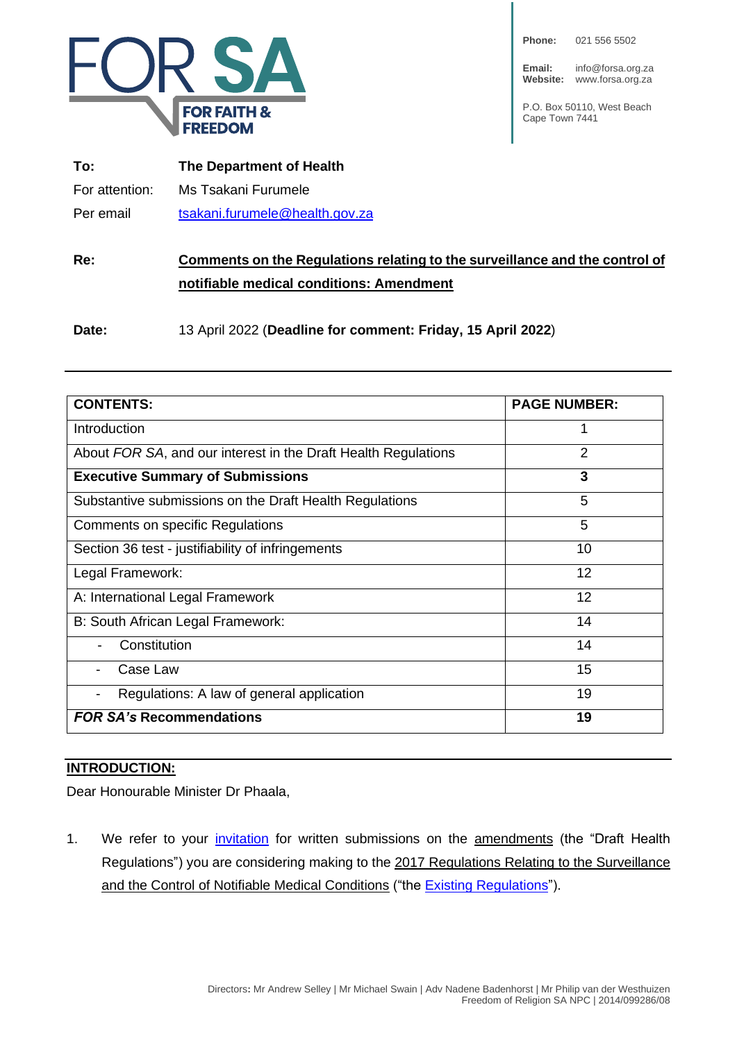

| Phone: |  | 021 556 5502 |
|--------|--|--------------|
|--------|--|--------------|

**Email:** info@forsa.org.za **Website:** www.forsa.org.za

P.O. Box 50110, West Beach Cape Town 7441

| To:            | The Department of Health       |  |
|----------------|--------------------------------|--|
| For attention: | Ms Tsakani Furumele            |  |
| Per email      | tsakani.furumele@health.gov.za |  |

# **Re: Comments on the Regulations relating to the surveillance and the control of notifiable medical conditions: Amendment**

**Date:** 13 April 2022 (**Deadline for comment: Friday, 15 April 2022**)

| <b>CONTENTS:</b>                                               | <b>PAGE NUMBER:</b> |
|----------------------------------------------------------------|---------------------|
| Introduction                                                   | 1                   |
| About FOR SA, and our interest in the Draft Health Regulations | 2                   |
| <b>Executive Summary of Submissions</b>                        | 3                   |
| Substantive submissions on the Draft Health Regulations        | 5                   |
| Comments on specific Regulations                               | 5                   |
| Section 36 test - justifiability of infringements              | 10                  |
| Legal Framework:                                               | 12                  |
| A: International Legal Framework                               | 12                  |
| B: South African Legal Framework:                              | 14                  |
| Constitution                                                   | 14                  |
| Case Law                                                       | 15                  |
| Regulations: A law of general application                      | 19                  |
| <b>FOR SA's Recommendations</b>                                | 19                  |

#### **INTRODUCTION:**

Dear Honourable Minister Dr Phaala,

1. We refer to your *[invitation](https://health.gov.za/wp-content/uploads/2022/03/Amended-Government-Gazette-on-the-Draft-Health-Regulations-published-for-public-comments-46045-15-March-2022.pdf)* for written submissions on the **amendments** (the "Draft Health Regulations") you are considering making to the 2017 Regulations Relating to the Surveillance and the Control of Notifiable Medical Conditions ("the [Existing Regulations"](https://covidlawlab.org/wp-content/uploads/2021/02/South-Africa_2017.12.15_Regulation_Regulations-Relating-to-the-Surveillance-and-the-Control-of-Notifiable-Medical-Conditions_EN.pdf)).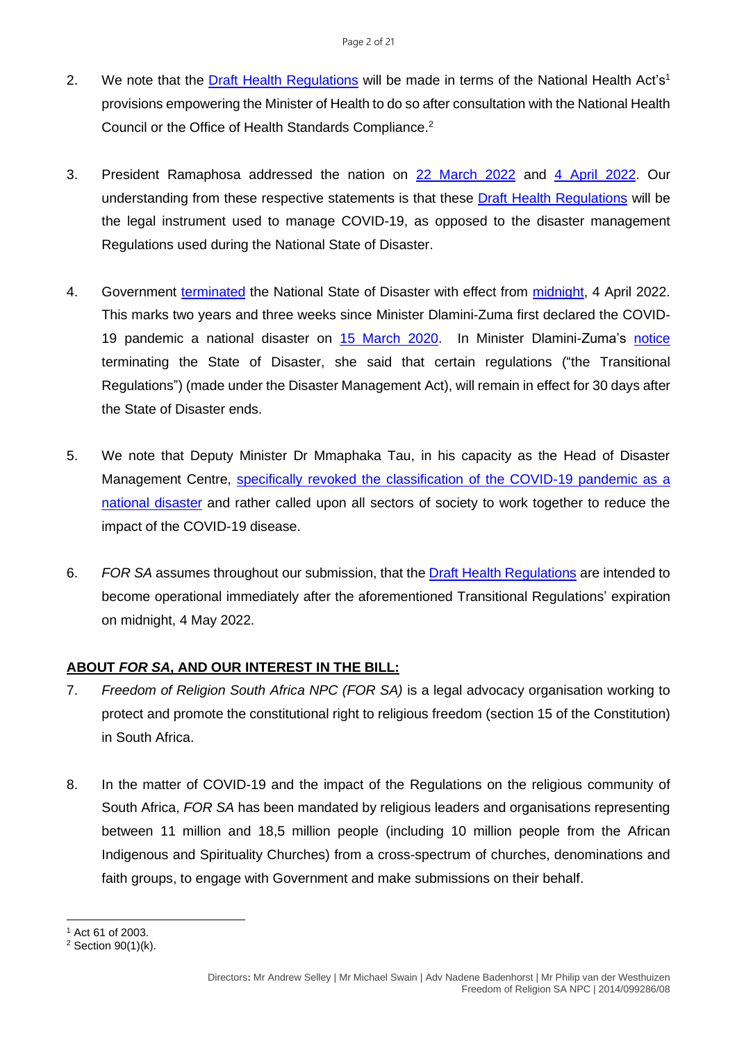- 2. We note that the [Draft Health Regulations](https://health.gov.za/wp-content/uploads/2022/03/Amended-Government-Gazette-on-the-Draft-Health-Regulations-published-for-public-comments-46045-15-March-2022.pdf) will be made in terms of the National Health Act's<sup>1</sup> provisions empowering the Minister of Health to do so after consultation with the National Health Council or the Office of Health Standards Compliance. 2
- 3. President Ramaphosa addressed the nation on [22 March 2022](https://www.gov.za/speeches/president-cyril-ramaphosa-countrys-response-coronavirus-covid-19-pandemic-22-mar-2022-0000) and [4 April 2022.](https://www.gov.za/speeches/president-cyril-ramaphosa-south-africas-response-coronavirus-covid-19-pandemic-4-apr-2022) Our understanding from these respective statements is that these [Draft Health Regulations](https://health.gov.za/wp-content/uploads/2022/03/Amended-Government-Gazette-on-the-Draft-Health-Regulations-published-for-public-comments-46045-15-March-2022.pdf) will be the legal instrument used to manage COVID-19, as opposed to the disaster management Regulations used during the National State of Disaster.
- 4. Government [terminated](https://www.gov.za/sites/default/files/gcis_document/202204/46197rg11417gon1988.pdf) the National State of Disaster with effect from [midnight,](https://www.gov.za/speeches/president-cyril-ramaphosa-south-africas-response-coronavirus-covid-19-pandemic-4-apr-2022) 4 April 2022. This marks two years and three weeks since Minister Dlamini-Zuma first declared the COVID-19 pandemic a national disaster on 15 [March](https://www.gov.za/sites/default/files/gcis_document/202003/43096gon312.pdf) 2020. In Minister Dlamini-Zuma's [notice](https://www.gov.za/sites/default/files/gcis_document/202204/46197rg11417gon1988.pdf) terminating the State of Disaster, she said that certain regulations ("the Transitional Regulations") (made under the Disaster Management Act), will remain in effect for 30 days after the State of Disaster ends.
- 5. We note that Deputy Minister Dr Mmaphaka Tau, in his capacity as the Head of Disaster Management Centre, **specifically revoked the classification of the COVID-19 pandemic as a** [national disaster](https://www.gov.za/sites/default/files/gcis_document/202204/46199rg11419gon1992.pdf) and rather called upon all sectors of society to work together to reduce the impact of the COVID-19 disease.
- 6. *FOR SA* assumes throughout our submission, that the [Draft Health Regulations](https://health.gov.za/wp-content/uploads/2022/03/Amended-Government-Gazette-on-the-Draft-Health-Regulations-published-for-public-comments-46045-15-March-2022.pdf) are intended to become operational immediately after the aforementioned Transitional Regulations' expiration on midnight, 4 May 2022.

# **ABOUT** *FOR SA***, AND OUR INTEREST IN THE BILL:**

- 7. *Freedom of Religion South Africa NPC (FOR SA)* is a legal advocacy organisation working to protect and promote the constitutional right to religious freedom (section 15 of the Constitution) in South Africa.
- 8. In the matter of COVID-19 and the impact of the Regulations on the religious community of South Africa, *FOR SA* has been mandated by religious leaders and organisations representing between 11 million and 18,5 million people (including 10 million people from the African Indigenous and Spirituality Churches) from a cross-spectrum of churches, denominations and faith groups, to engage with Government and make submissions on their behalf.

<sup>1</sup> Act 61 of 2003.

<sup>2</sup> Section 90(1)(k).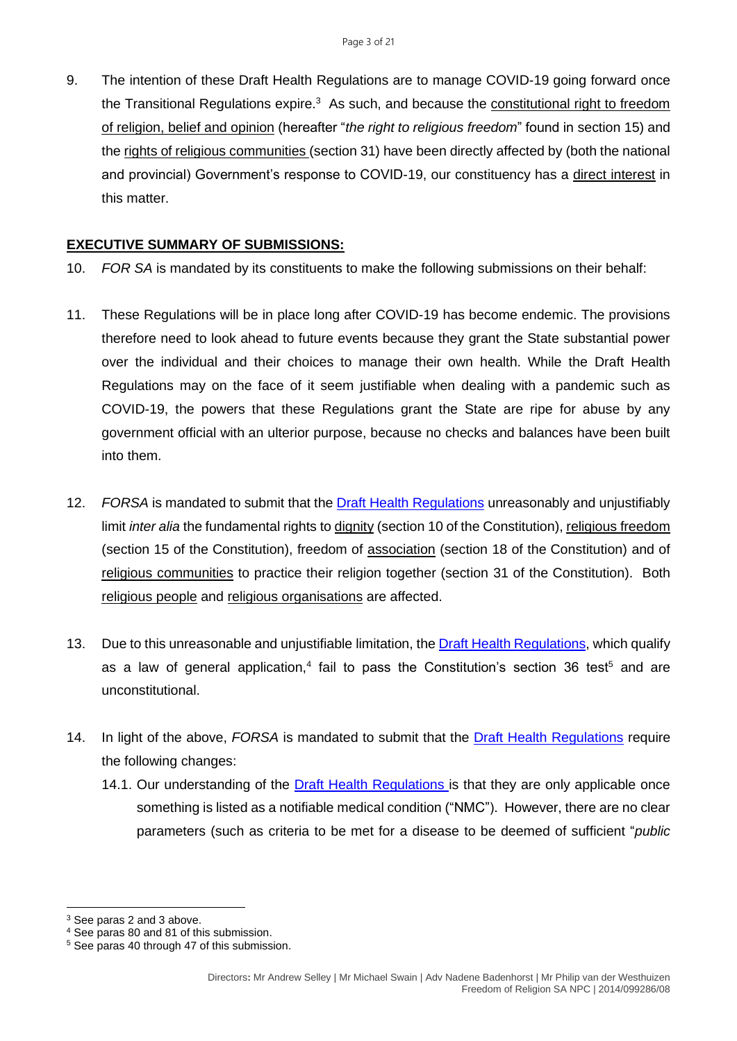9. The intention of these Draft Health Regulations are to manage COVID-19 going forward once the Transitional Regulations expire.<sup>3</sup> As such, and because the <u>constitutional right to freedom</u> of religion, belief and opinion (hereafter "*the right to religious freedom*" found in section 15) and the rights of religious communities (section 31) have been directly affected by (both the national and provincial) Government's response to COVID-19, our constituency has a direct interest in this matter.

#### **EXECUTIVE SUMMARY OF SUBMISSIONS:**

- 10. *FOR SA* is mandated by its constituents to make the following submissions on their behalf:
- 11. These Regulations will be in place long after COVID-19 has become endemic. The provisions therefore need to look ahead to future events because they grant the State substantial power over the individual and their choices to manage their own health. While the Draft Health Regulations may on the face of it seem justifiable when dealing with a pandemic such as COVID-19, the powers that these Regulations grant the State are ripe for abuse by any government official with an ulterior purpose, because no checks and balances have been built into them.
- 12. *FORSA* is mandated to submit that the [Draft Health Regulations](https://health.gov.za/wp-content/uploads/2022/03/Amended-Government-Gazette-on-the-Draft-Health-Regulations-published-for-public-comments-46045-15-March-2022.pdf) unreasonably and unjustifiably limit *inter alia* the fundamental rights to dignity (section 10 of the Constitution), religious freedom (section 15 of the Constitution), freedom of association (section 18 of the Constitution) and of religious communities to practice their religion together (section 31 of the Constitution). Both religious people and religious organisations are affected.
- 13. Due to this unreasonable and unjustifiable limitation, th[e Draft Health Regulations,](https://health.gov.za/wp-content/uploads/2022/03/Amended-Government-Gazette-on-the-Draft-Health-Regulations-published-for-public-comments-46045-15-March-2022.pdf) which qualify as a law of general application,<sup>4</sup> fail to pass the Constitution's section 36 test<sup>5</sup> and are unconstitutional.
- 14. In light of the above, *FORSA* is mandated to submit that the [Draft Health Regulations](https://health.gov.za/wp-content/uploads/2022/03/Amended-Government-Gazette-on-the-Draft-Health-Regulations-published-for-public-comments-46045-15-March-2022.pdf) require the following changes:
	- 14.1. Our understanding of the **[Draft Health Regulations](https://health.gov.za/wp-content/uploads/2022/03/Amended-Government-Gazette-on-the-Draft-Health-Regulations-published-for-public-comments-46045-15-March-2022.pdf)** is that they are only applicable once something is listed as a notifiable medical condition ("NMC"). However, there are no clear parameters (such as criteria to be met for a disease to be deemed of sufficient "*public*

<sup>3</sup> See paras 2 and 3 above.

<sup>4</sup> See paras 80 and 81 of this submission.

<sup>5</sup> See paras 40 through 47 of this submission.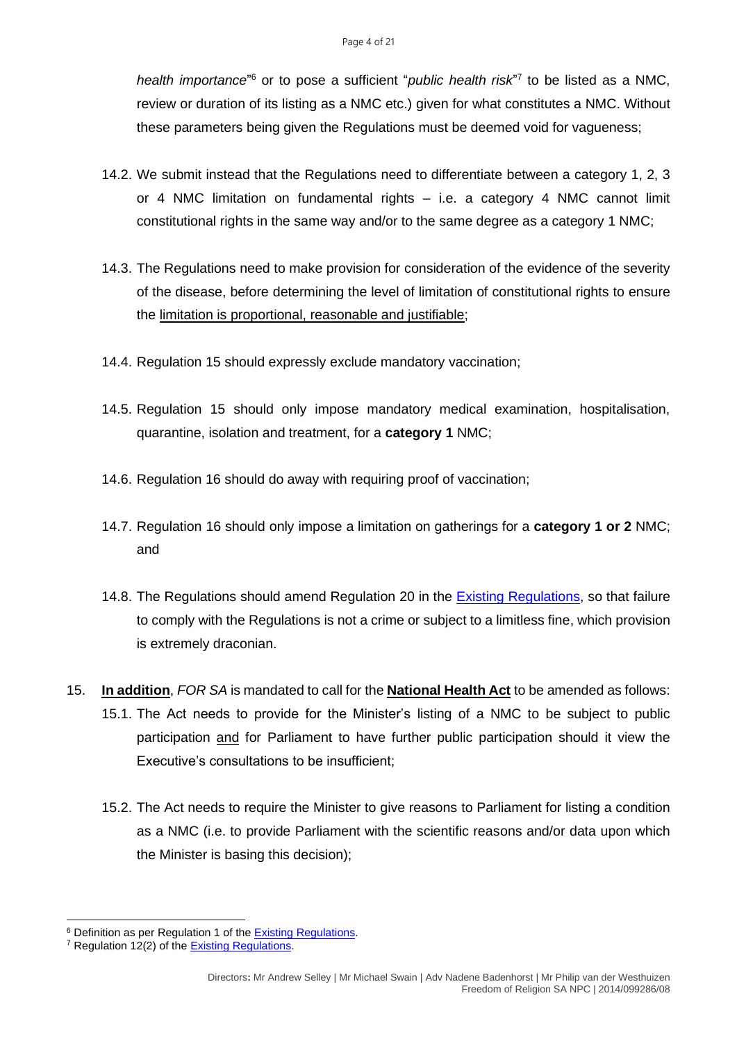*health importance*" <sup>6</sup> or to pose a sufficient "*public health risk*" 7 to be listed as a NMC, review or duration of its listing as a NMC etc.) given for what constitutes a NMC. Without these parameters being given the Regulations must be deemed void for vagueness;

- 14.2. We submit instead that the Regulations need to differentiate between a category 1, 2, 3 or 4 NMC limitation on fundamental rights – i.e. a category 4 NMC cannot limit constitutional rights in the same way and/or to the same degree as a category 1 NMC;
- 14.3. The Regulations need to make provision for consideration of the evidence of the severity of the disease, before determining the level of limitation of constitutional rights to ensure the limitation is proportional, reasonable and justifiable;
- 14.4. Regulation 15 should expressly exclude mandatory vaccination;
- 14.5. Regulation 15 should only impose mandatory medical examination, hospitalisation, quarantine, isolation and treatment, for a **category 1** NMC;
- 14.6. Regulation 16 should do away with requiring proof of vaccination;
- 14.7. Regulation 16 should only impose a limitation on gatherings for a **category 1 or 2** NMC; and
- 14.8. The Regulations should amend Regulation 20 in the [Existing Regulations,](https://covidlawlab.org/wp-content/uploads/2021/02/South-Africa_2017.12.15_Regulation_Regulations-Relating-to-the-Surveillance-and-the-Control-of-Notifiable-Medical-Conditions_EN.pdf) so that failure to comply with the Regulations is not a crime or subject to a limitless fine, which provision is extremely draconian.
- 15. **In addition**, *FOR SA* is mandated to call for the **National Health Act** to be amended as follows: 15.1. The Act needs to provide for the Minister's listing of a NMC to be subject to public participation and for Parliament to have further public participation should it view the Executive's consultations to be insufficient;
	- 15.2. The Act needs to require the Minister to give reasons to Parliament for listing a condition as a NMC (i.e. to provide Parliament with the scientific reasons and/or data upon which the Minister is basing this decision);

<sup>6</sup> Definition as per Regulation 1 of th[e Existing Regulations.](https://covidlawlab.org/wp-content/uploads/2021/02/South-Africa_2017.12.15_Regulation_Regulations-Relating-to-the-Surveillance-and-the-Control-of-Notifiable-Medical-Conditions_EN.pdf)

<sup>&</sup>lt;sup>7</sup> Regulation 12(2) of the **Existing Regulations**.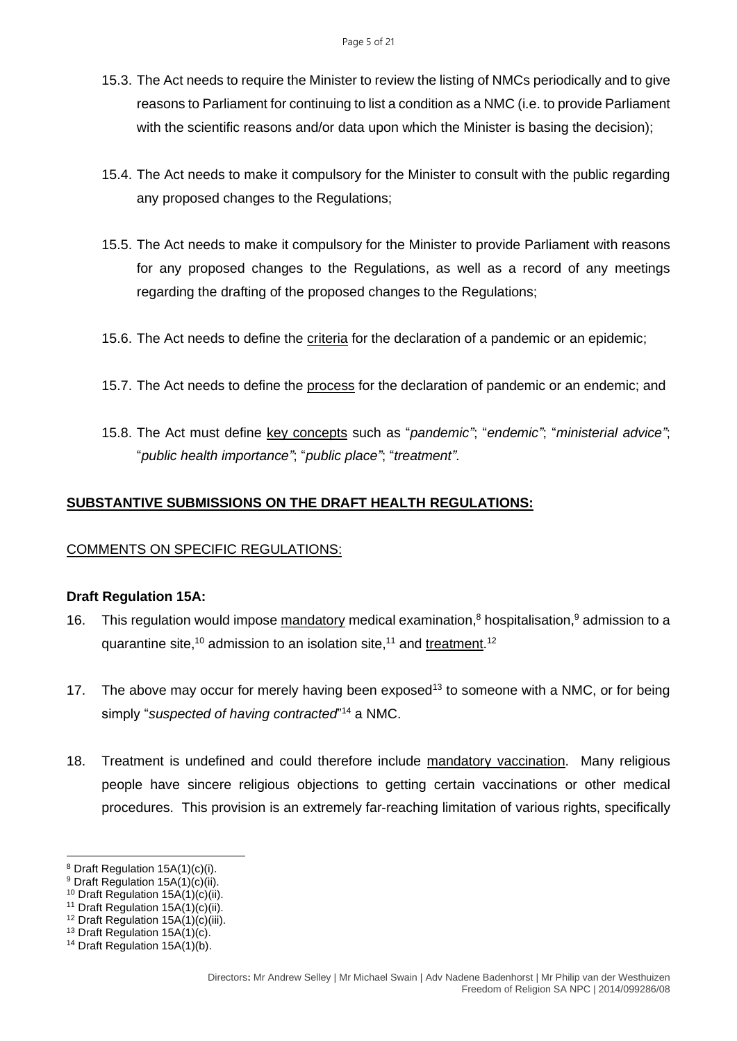- 15.3. The Act needs to require the Minister to review the listing of NMCs periodically and to give reasons to Parliament for continuing to list a condition as a NMC (i.e. to provide Parliament with the scientific reasons and/or data upon which the Minister is basing the decision);
- 15.4. The Act needs to make it compulsory for the Minister to consult with the public regarding any proposed changes to the Regulations;
- 15.5. The Act needs to make it compulsory for the Minister to provide Parliament with reasons for any proposed changes to the Regulations, as well as a record of any meetings regarding the drafting of the proposed changes to the Regulations;
- 15.6. The Act needs to define the criteria for the declaration of a pandemic or an epidemic;
- 15.7. The Act needs to define the process for the declaration of pandemic or an endemic; and
- 15.8. The Act must define key concepts such as "*pandemic"*; "*endemic"*; "*ministerial advice"*; "*public health importance"*; "*public place"*; "*treatment".*

# **SUBSTANTIVE SUBMISSIONS ON THE DRAFT HEALTH REGULATIONS:**

#### COMMENTS ON SPECIFIC REGULATIONS:

#### **Draft Regulation 15A:**

- 16. This regulation would impose mandatory medical examination, $8$  hospitalisation, $9$  admission to a quarantine site,<sup>10</sup> admission to an isolation site,<sup>11</sup> and treatment.<sup>12</sup>
- 17. The above may occur for merely having been exposed<sup>13</sup> to someone with a NMC, or for being simply "*suspected of having contracted*" <sup>14</sup> a NMC.
- 18. Treatment is undefined and could therefore include mandatory vaccination. Many religious people have sincere religious objections to getting certain vaccinations or other medical procedures. This provision is an extremely far-reaching limitation of various rights, specifically

<sup>8</sup> Draft Regulation 15A(1)(c)(i).

<sup>9</sup> Draft Regulation 15A(1)(c)(ii).

<sup>&</sup>lt;sup>10</sup> Draft Regulation  $15A(1)(c)(ii)$ .

<sup>&</sup>lt;sup>11</sup> Draft Regulation  $15A(1)(c)(ii)$ .

<sup>12</sup> Draft Regulation 15A(1)(c)(iii).

<sup>13</sup> Draft Regulation 15A(1)(c).

<sup>14</sup> Draft Regulation 15A(1)(b).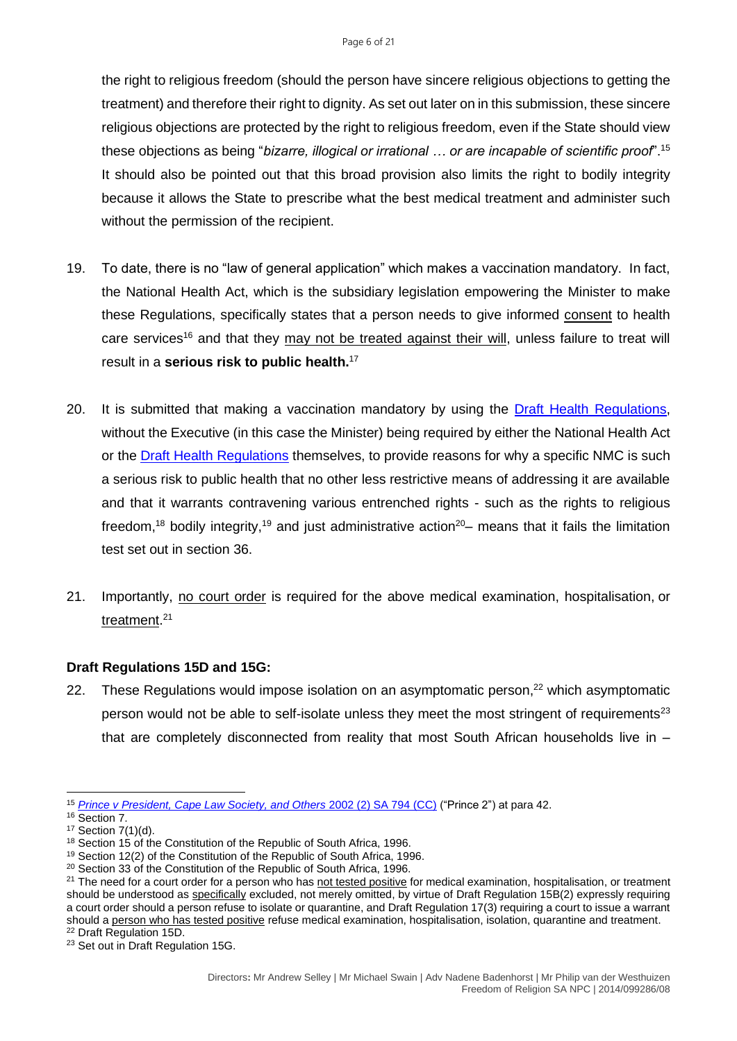the right to religious freedom (should the person have sincere religious objections to getting the treatment) and therefore their right to dignity. As set out later on in this submission, these sincere religious objections are protected by the right to religious freedom, even if the State should view these objections as being "*bizarre, illogical or irrational … or are incapable of scientific proof*".<sup>15</sup> It should also be pointed out that this broad provision also limits the right to bodily integrity because it allows the State to prescribe what the best medical treatment and administer such without the permission of the recipient.

- 19. To date, there is no "law of general application" which makes a vaccination mandatory. In fact, the National Health Act, which is the subsidiary legislation empowering the Minister to make these Regulations, specifically states that a person needs to give informed consent to health care services<sup>16</sup> and that they may not be treated against their will, unless failure to treat will result in a **serious risk to public health.** 17
- 20. It is submitted that making a vaccination mandatory by using the [Draft Health Regulations,](https://health.gov.za/wp-content/uploads/2022/03/Amended-Government-Gazette-on-the-Draft-Health-Regulations-published-for-public-comments-46045-15-March-2022.pdf) without the Executive (in this case the Minister) being required by either the National Health Act or the [Draft Health Regulations](https://health.gov.za/wp-content/uploads/2022/03/Amended-Government-Gazette-on-the-Draft-Health-Regulations-published-for-public-comments-46045-15-March-2022.pdf) themselves, to provide reasons for why a specific NMC is such a serious risk to public health that no other less restrictive means of addressing it are available and that it warrants contravening various entrenched rights - such as the rights to religious freedom,<sup>18</sup> bodily integrity,<sup>19</sup> and just administrative action<sup>20</sup>– means that it fails the limitation test set out in section 36.
- 21. Importantly, no court order is required for the above medical examination, hospitalisation, or treatment. 21

#### **Draft Regulations 15D and 15G:**

22. These Regulations would impose isolation on an asymptomatic person,<sup>22</sup> which asymptomatic person would not be able to self-isolate unless they meet the most stringent of requirements<sup>23</sup> that are completely disconnected from reality that most South African households live in –

<sup>15</sup> *[Prince v President, Cape Law Society, and Others](http://www.saflii.org/za/cases/ZACC/2002/1.html)* 2002 (2) SA 794 (CC) ("Prince 2") at para 42.

<sup>16</sup> Section 7.

<sup>17</sup> Section 7(1)(d).

<sup>18</sup> Section 15 of the Constitution of the Republic of South Africa, 1996.

<sup>&</sup>lt;sup>19</sup> Section 12(2) of the Constitution of the Republic of South Africa, 1996.

<sup>&</sup>lt;sup>20</sup> Section 33 of the Constitution of the Republic of South Africa, 1996.

<sup>&</sup>lt;sup>21</sup> The need for a court order for a person who has not tested positive for medical examination, hospitalisation, or treatment should be understood as specifically excluded, not merely omitted, by virtue of Draft Regulation 15B(2) expressly requiring a court order should a person refuse to isolate or quarantine, and Draft Regulation 17(3) requiring a court to issue a warrant should a person who has tested positive refuse medical examination, hospitalisation, isolation, quarantine and treatment. <sup>22</sup> Draft Regulation 15D.

<sup>&</sup>lt;sup>23</sup> Set out in Draft Regulation 15G.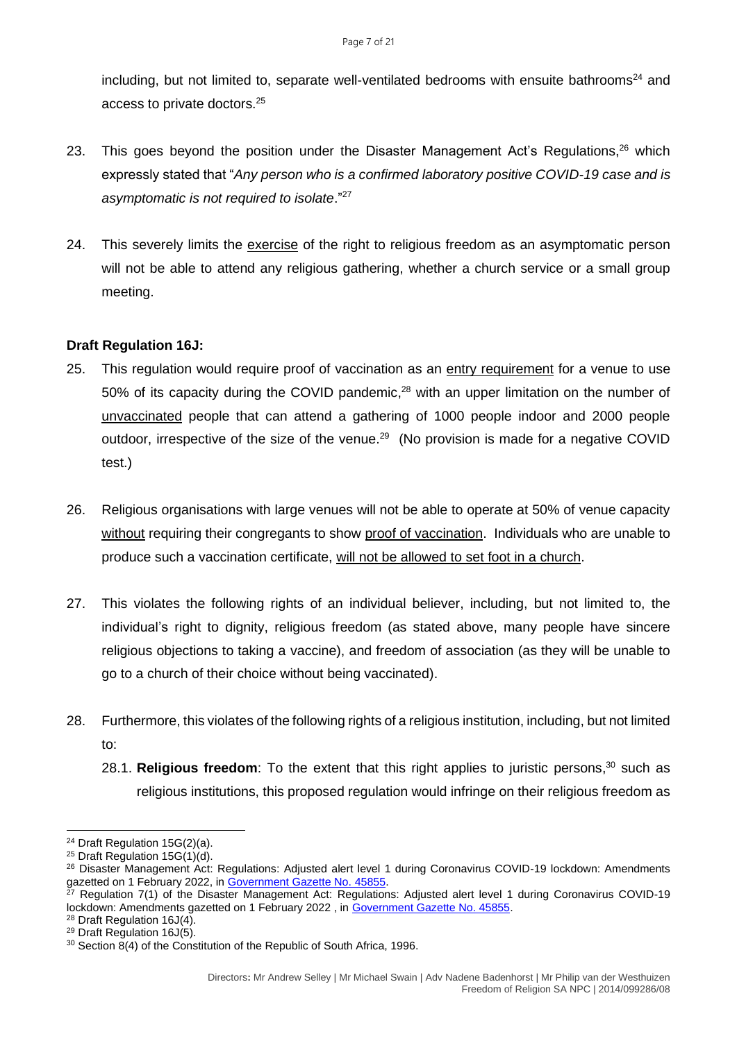including, but not limited to, separate well-ventilated bedrooms with ensuite bathrooms<sup>24</sup> and access to private doctors.<sup>25</sup>

- 23. This goes beyond the position under the Disaster Management Act's Regulations,<sup>26</sup> which expressly stated that "*Any person who is a confirmed laboratory positive COVID-19 case and is asymptomatic is not required to isolate*."<sup>27</sup>
- 24. This severely limits the exercise of the right to religious freedom as an asymptomatic person will not be able to attend any religious gathering, whether a church service or a small group meeting.

#### **Draft Regulation 16J:**

- 25. This regulation would require proof of vaccination as an entry requirement for a venue to use 50% of its capacity during the COVID pandemic,<sup>28</sup> with an upper limitation on the number of unvaccinated people that can attend a gathering of 1000 people indoor and 2000 people outdoor, irrespective of the size of the venue.<sup>29</sup> (No provision is made for a negative COVID test.)
- 26. Religious organisations with large venues will not be able to operate at 50% of venue capacity without requiring their congregants to show proof of vaccination. Individuals who are unable to produce such a vaccination certificate, will not be allowed to set foot in a church.
- 27. This violates the following rights of an individual believer, including, but not limited to, the individual's right to dignity, religious freedom (as stated above, many people have sincere religious objections to taking a vaccine), and freedom of association (as they will be unable to go to a church of their choice without being vaccinated).
- 28. Furthermore, this violates of the following rights of a religious institution, including, but not limited to:
	- 28.1. **Religious freedom**: To the extent that this right applies to juristic persons, <sup>30</sup> such as religious institutions, this proposed regulation would infringe on their religious freedom as

<sup>24</sup> Draft Regulation 15G(2)(a).

<sup>25</sup> Draft Regulation 15G(1)(d).

<sup>&</sup>lt;sup>26</sup> Disaster Management Act: Regulations: Adjusted alert level 1 during Coronavirus COVID-19 lockdown: Amendments gazetted on 1 February 2022, in [Government Gazette No. 45855.](https://www.gov.za/sites/default/files/gcis_document/202202/45855rg11389gon1715.pdf)

<sup>&</sup>lt;sup>27</sup> Regulation 7(1) of the Disaster Management Act: Regulations: Adjusted alert level 1 during Coronavirus COVID-19 lockdown: Amendments gazetted on 1 February 2022, in [Government Gazette No. 45855.](https://www.gov.za/sites/default/files/gcis_document/202202/45855rg11389gon1715.pdf)

<sup>28</sup> Draft Regulation 16J(4).

<sup>29</sup> Draft Regulation 16J(5).

<sup>&</sup>lt;sup>30</sup> Section 8(4) of the Constitution of the Republic of South Africa, 1996.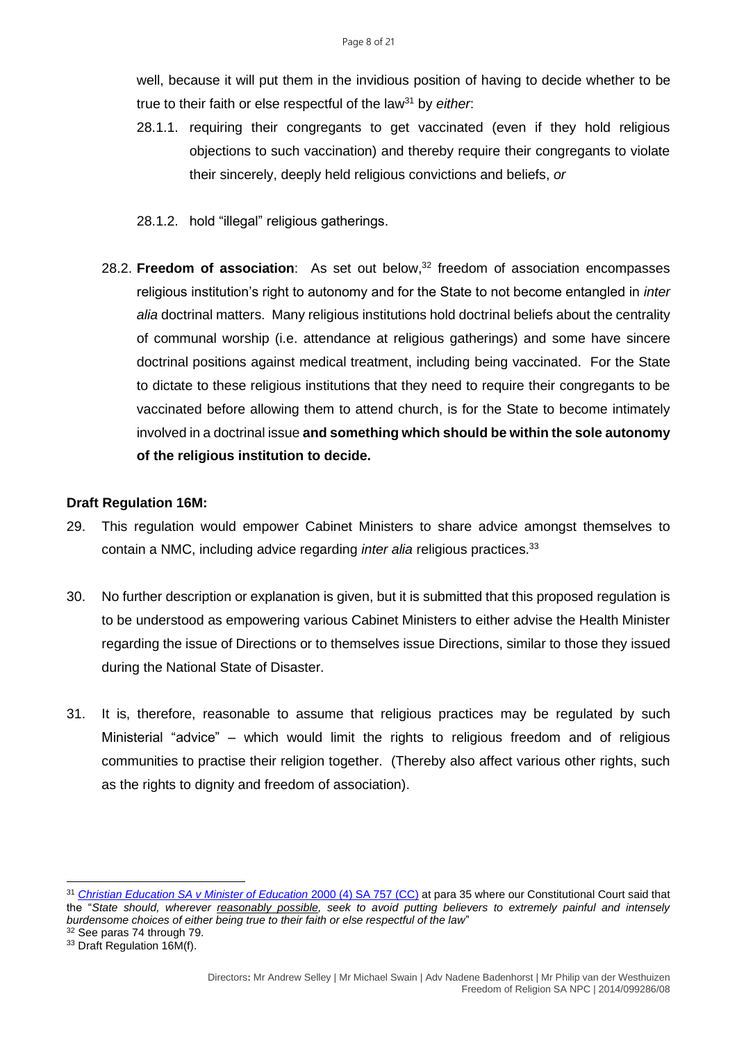well, because it will put them in the invidious position of having to decide whether to be true to their faith or else respectful of the law<sup>31</sup> by *either*:

- 28.1.1. requiring their congregants to get vaccinated (even if they hold religious objections to such vaccination) and thereby require their congregants to violate their sincerely, deeply held religious convictions and beliefs, *or*
- 28.1.2. hold "illegal" religious gatherings.
- 28.2. **Freedom of association**: As set out below, <sup>32</sup> freedom of association encompasses religious institution's right to autonomy and for the State to not become entangled in *inter alia* doctrinal matters. Many religious institutions hold doctrinal beliefs about the centrality of communal worship (i.e. attendance at religious gatherings) and some have sincere doctrinal positions against medical treatment, including being vaccinated. For the State to dictate to these religious institutions that they need to require their congregants to be vaccinated before allowing them to attend church, is for the State to become intimately involved in a doctrinal issue **and something which should be within the sole autonomy of the religious institution to decide.**

#### **Draft Regulation 16M:**

- 29. This regulation would empower Cabinet Ministers to share advice amongst themselves to contain a NMC, including advice regarding *inter alia* religious practices.<sup>33</sup>
- 30. No further description or explanation is given, but it is submitted that this proposed regulation is to be understood as empowering various Cabinet Ministers to either advise the Health Minister regarding the issue of Directions or to themselves issue Directions, similar to those they issued during the National State of Disaster.
- 31. It is, therefore, reasonable to assume that religious practices may be regulated by such Ministerial "advice" – which would limit the rights to religious freedom and of religious communities to practise their religion together. (Thereby also affect various other rights, such as the rights to dignity and freedom of association).

<sup>31</sup> *[Christian Education SA v Minister of Education](http://www.saflii.org/za/cases/ZACC/2000/11.html)* 2000 (4) SA 757 (CC) at para 35 where our Constitutional Court said that the "*State should, wherever reasonably possible, seek to avoid putting believers to extremely painful and intensely burdensome choices of either being true to their faith or else respectful of the law*"

<sup>32</sup> See paras 74 through 79.

<sup>&</sup>lt;sup>33</sup> Draft Regulation 16M(f).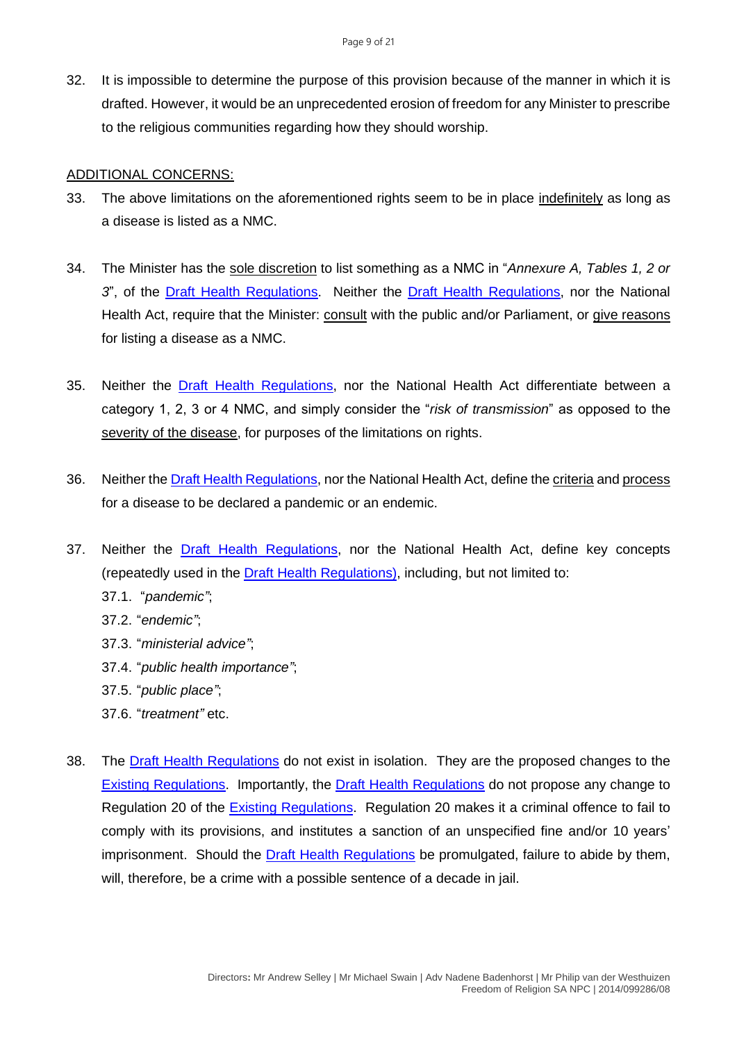32. It is impossible to determine the purpose of this provision because of the manner in which it is drafted. However, it would be an unprecedented erosion of freedom for any Minister to prescribe to the religious communities regarding how they should worship.

#### ADDITIONAL CONCERNS:

- 33. The above limitations on the aforementioned rights seem to be in place indefinitely as long as a disease is listed as a NMC.
- 34. The Minister has the sole discretion to list something as a NMC in "*Annexure A, Tables 1, 2 or 3*", of the [Draft Health Regulations.](https://health.gov.za/wp-content/uploads/2022/03/Amended-Government-Gazette-on-the-Draft-Health-Regulations-published-for-public-comments-46045-15-March-2022.pdf) Neither the [Draft Health Regulations,](https://health.gov.za/wp-content/uploads/2022/03/Amended-Government-Gazette-on-the-Draft-Health-Regulations-published-for-public-comments-46045-15-March-2022.pdf) nor the National Health Act, require that the Minister: **consult** with the public and/or Parliament, or give reasons for listing a disease as a NMC.
- 35. Neither the [Draft Health Regulations,](https://health.gov.za/wp-content/uploads/2022/03/Amended-Government-Gazette-on-the-Draft-Health-Regulations-published-for-public-comments-46045-15-March-2022.pdf) nor the National Health Act differentiate between a category 1, 2, 3 or 4 NMC, and simply consider the "*risk of transmission*" as opposed to the severity of the disease, for purposes of the limitations on rights.
- 36. Neither the [Draft Health Regulations,](https://health.gov.za/wp-content/uploads/2022/03/Amended-Government-Gazette-on-the-Draft-Health-Regulations-published-for-public-comments-46045-15-March-2022.pdf) nor the National Health Act, define the criteria and process for a disease to be declared a pandemic or an endemic.
- 37. Neither the [Draft Health Regulations,](https://health.gov.za/wp-content/uploads/2022/03/Amended-Government-Gazette-on-the-Draft-Health-Regulations-published-for-public-comments-46045-15-March-2022.pdf) nor the National Health Act, define key concepts (repeatedly used in the [Draft Health Regulations\)](https://health.gov.za/wp-content/uploads/2022/03/Amended-Government-Gazette-on-the-Draft-Health-Regulations-published-for-public-comments-46045-15-March-2022.pdf), including, but not limited to:
	- 37.1. "*pandemic"*;
	- 37.2. "*endemic"*;
	- 37.3. "*ministerial advice"*;
	- 37.4. "*public health importance"*;
	- 37.5. "*public place"*;
	- 37.6. "*treatment"* etc.
- 38. The [Draft Health Regulations](https://health.gov.za/wp-content/uploads/2022/03/Amended-Government-Gazette-on-the-Draft-Health-Regulations-published-for-public-comments-46045-15-March-2022.pdf) do not exist in isolation. They are the proposed changes to the [Existing Regulations.](https://covidlawlab.org/wp-content/uploads/2021/02/South-Africa_2017.12.15_Regulation_Regulations-Relating-to-the-Surveillance-and-the-Control-of-Notifiable-Medical-Conditions_EN.pdf) Importantly, the [Draft Health Regulations](https://health.gov.za/wp-content/uploads/2022/03/Amended-Government-Gazette-on-the-Draft-Health-Regulations-published-for-public-comments-46045-15-March-2022.pdf) do not propose any change to Regulation 20 of the [Existing Regulations.](https://covidlawlab.org/wp-content/uploads/2021/02/South-Africa_2017.12.15_Regulation_Regulations-Relating-to-the-Surveillance-and-the-Control-of-Notifiable-Medical-Conditions_EN.pdf) Regulation 20 makes it a criminal offence to fail to comply with its provisions, and institutes a sanction of an unspecified fine and/or 10 years' imprisonment. Should the **Draft Health Regulations** be promulgated, failure to abide by them, will, therefore, be a crime with a possible sentence of a decade in jail.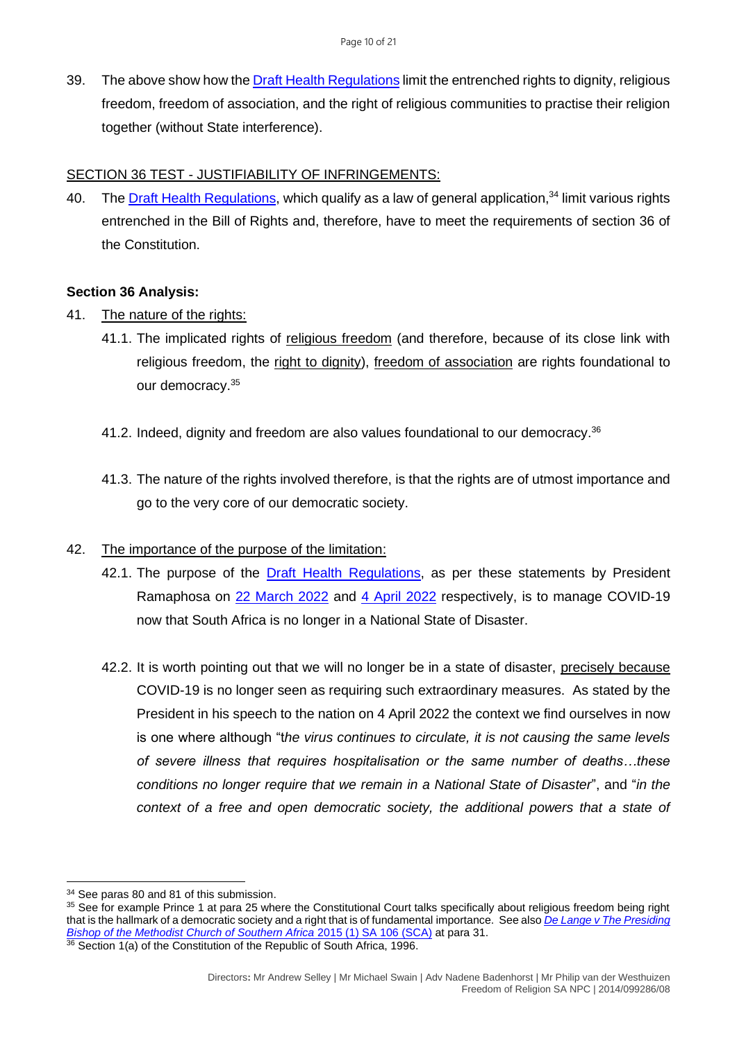39. The above show how th[e Draft Health Regulations](https://health.gov.za/wp-content/uploads/2022/03/Amended-Government-Gazette-on-the-Draft-Health-Regulations-published-for-public-comments-46045-15-March-2022.pdf) limit the entrenched rights to dignity, religious freedom, freedom of association, and the right of religious communities to practise their religion together (without State interference).

# SECTION 36 TEST - JUSTIFIABILITY OF INFRINGEMENTS:

40. The [Draft Health Regulations,](https://health.gov.za/wp-content/uploads/2022/03/Amended-Government-Gazette-on-the-Draft-Health-Regulations-published-for-public-comments-46045-15-March-2022.pdf) which qualify as a law of general application,<sup>34</sup> limit various rights entrenched in the Bill of Rights and, therefore, have to meet the requirements of section 36 of the Constitution.

# **Section 36 Analysis:**

- 41. The nature of the rights:
	- 41.1. The implicated rights of religious freedom (and therefore, because of its close link with religious freedom, the right to dignity), freedom of association are rights foundational to our democracy.<sup>35</sup>
	- 41.2. Indeed, dignity and freedom are also values foundational to our democracy.<sup>36</sup>
	- 41.3. The nature of the rights involved therefore, is that the rights are of utmost importance and go to the very core of our democratic society.

# 42. The importance of the purpose of the limitation:

- 42.1. The purpose of the **Draft Health Regulations**, as per these statements by President Ramaphosa on [22 March 2022](https://www.gov.za/speeches/president-cyril-ramaphosa-countrys-response-coronavirus-covid-19-pandemic-22-mar-2022-0000) and [4 April 2022](https://www.gov.za/speeches/president-cyril-ramaphosa-south-africas-response-coronavirus-covid-19-pandemic-4-apr-2022) respectively, is to manage COVID-19 now that South Africa is no longer in a National State of Disaster.
- 42.2. It is worth pointing out that we will no longer be in a state of disaster, precisely because COVID-19 is no longer seen as requiring such extraordinary measures. As stated by the President in his speech to the nation on 4 April 2022 the context we find ourselves in now is one where although "t*he virus continues to circulate, it is not causing the same levels of severe illness that requires hospitalisation or the same number of deaths…these conditions no longer require that we remain in a National State of Disaster*", and "*in the context of a free and open democratic society, the additional powers that a state of*

<sup>34</sup> See paras 80 and 81 of this submission.

<sup>&</sup>lt;sup>35</sup> See for example Prince 1 at para 25 where the Constitutional Court talks specifically about religious freedom being right that is the hallmark of a democratic society and a right that is of fundamental importance. See also *[De Lange v The Presiding](http://www.saflii.org/cgi-bin/disp.pl?file=za/cases/ZASCA/2014/151.html&query=De%20Lange%20v%20The%20Presiding%20Bishop%20of%20the%20Methodist%20Church%20of%20Southern%20Africa)  [Bishop of the Methodist Church of Southern Africa](http://www.saflii.org/cgi-bin/disp.pl?file=za/cases/ZASCA/2014/151.html&query=De%20Lange%20v%20The%20Presiding%20Bishop%20of%20the%20Methodist%20Church%20of%20Southern%20Africa)* 2015 (1) SA 106 (SCA) at para 31. <sup>36</sup> Section 1(a) of the Constitution of the Republic of South Africa, 1996.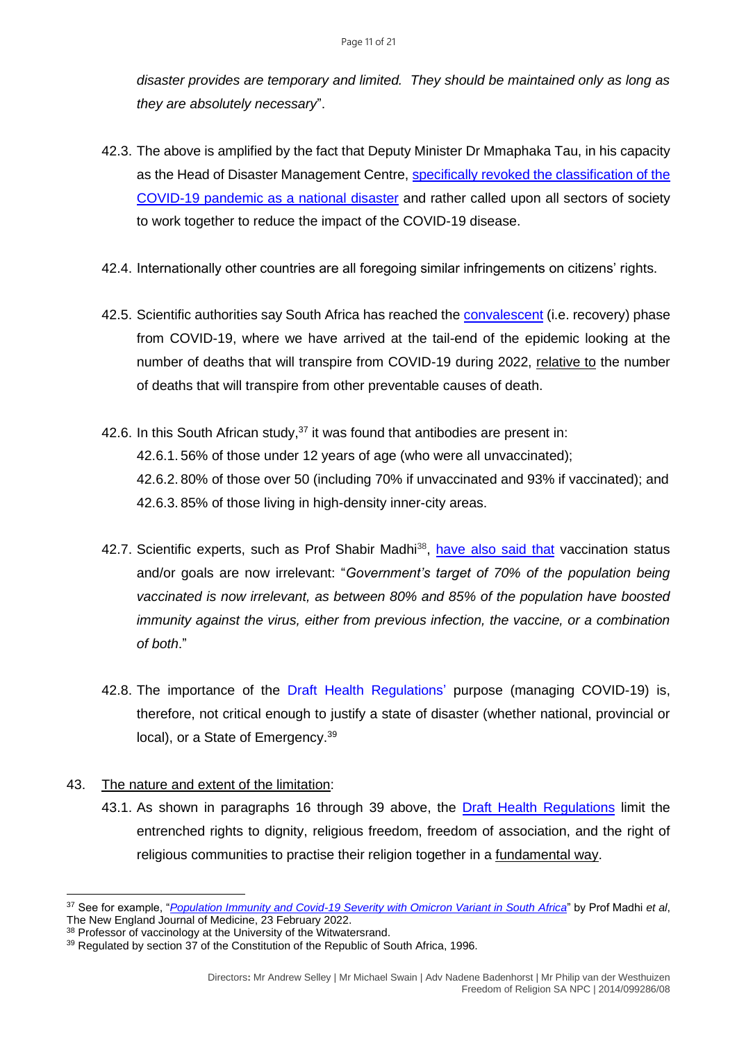*disaster provides are temporary and limited. They should be maintained only as long as they are absolutely necessary*".

- 42.3. The above is amplified by the fact that Deputy Minister Dr Mmaphaka Tau, in his capacity as the Head of Disaster Management Centre, [specifically revoked the classification of the](https://www.gov.za/sites/default/files/gcis_document/202204/46199rg11419gon1992.pdf)  [COVID-19 pandemic as a national disaster](https://www.gov.za/sites/default/files/gcis_document/202204/46199rg11419gon1992.pdf) and rather called upon all sectors of society to work together to reduce the impact of the COVID-19 disease.
- 42.4. Internationally other countries are all foregoing similar infringements on citizens' rights.
- 42.5. Scientific authorities say South Africa has reached the [convalescent](https://businesstech.co.za/news/trending/564062/south-africa-has-reached-the-recovery-stage-of-the-covid-pandemic-expert/) (i.e. recovery) phase from COVID-19, where we have arrived at the tail-end of the epidemic looking at the number of deaths that will transpire from COVID-19 during 2022, relative to the number of deaths that will transpire from other preventable causes of death.
- 42.6. In this South African study,  $37$  it was found that antibodies are present in: 42.6.1. 56% of those under 12 years of age (who were all unvaccinated); 42.6.2. 80% of those over 50 (including 70% if unvaccinated and 93% if vaccinated); and 42.6.3. 85% of those living in high-density inner-city areas.
- 42.7. Scientific experts, such as Prof Shabir Madhi<sup>38</sup>, [have also said that](https://businesstech.co.za/news/government/565286/lockdown-is-obsolete-and-doing-more-harm-than-good-expert/) vaccination status and/or goals are now irrelevant: "*Government's target of 70% of the population being vaccinated is now irrelevant, as between 80% and 85% of the population have boosted immunity against the virus, either from previous infection, the vaccine, or a combination of both*."
- 42.8. The importance of the [Draft Health Regulations'](https://health.gov.za/wp-content/uploads/2022/03/Amended-Government-Gazette-on-the-Draft-Health-Regulations-published-for-public-comments-46045-15-March-2022.pdf) purpose (managing COVID-19) is, therefore, not critical enough to justify a state of disaster (whether national, provincial or local), or a State of Emergency.<sup>39</sup>

# 43. The nature and extent of the limitation:

43.1. As shown in paragraphs 16 through 39 above, the [Draft Health Regulations](https://health.gov.za/wp-content/uploads/2022/03/Amended-Government-Gazette-on-the-Draft-Health-Regulations-published-for-public-comments-46045-15-March-2022.pdf) limit the entrenched rights to dignity, religious freedom, freedom of association, and the right of religious communities to practise their religion together in a fundamental way.

<sup>37</sup> See for example, "*[Population Immunity and Covid-19 Severity with Omicron Variant in South Africa](https://www.nejm.org/doi/full/10.1056/NEJMoa2119658)*" by Prof Madhi *et al*, The New England Journal of Medicine, 23 February 2022.

<sup>38</sup> Professor of vaccinology at the University of the Witwatersrand.

<sup>&</sup>lt;sup>39</sup> Regulated by section 37 of the Constitution of the Republic of South Africa, 1996.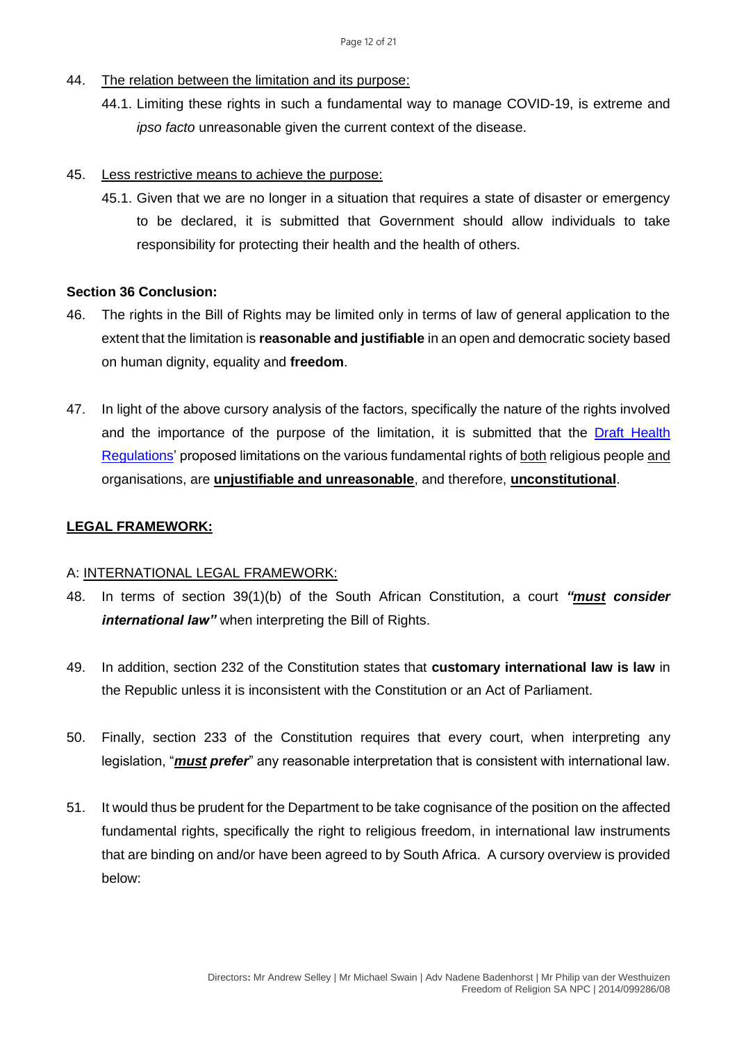- 44. The relation between the limitation and its purpose:
	- 44.1. Limiting these rights in such a fundamental way to manage COVID-19, is extreme and *ipso facto* unreasonable given the current context of the disease.

#### 45. Less restrictive means to achieve the purpose:

45.1. Given that we are no longer in a situation that requires a state of disaster or emergency to be declared, it is submitted that Government should allow individuals to take responsibility for protecting their health and the health of others.

# **Section 36 Conclusion:**

- 46. The rights in the Bill of Rights may be limited only in terms of law of general application to the extent that the limitation is **reasonable and justifiable** in an open and democratic society based on human dignity, equality and **freedom**.
- 47. In light of the above cursory analysis of the factors, specifically the nature of the rights involved and the importance of the purpose of the limitation, it is submitted that the [Draft Health](https://health.gov.za/wp-content/uploads/2022/03/Amended-Government-Gazette-on-the-Draft-Health-Regulations-published-for-public-comments-46045-15-March-2022.pdf)  [Regulations'](https://health.gov.za/wp-content/uploads/2022/03/Amended-Government-Gazette-on-the-Draft-Health-Regulations-published-for-public-comments-46045-15-March-2022.pdf) proposed limitations on the various fundamental rights of both religious people and organisations, are **unjustifiable and unreasonable**, and therefore, **unconstitutional**.

# **LEGAL FRAMEWORK:**

# A: INTERNATIONAL LEGAL FRAMEWORK:

- 48. In terms of section 39(1)(b) of the South African Constitution, a court *"must consider international law"* when interpreting the Bill of Rights.
- 49. In addition, section 232 of the Constitution states that **customary international law is law** in the Republic unless it is inconsistent with the Constitution or an Act of Parliament.
- 50. Finally, section 233 of the Constitution requires that every court, when interpreting any legislation, "*must prefer*" any reasonable interpretation that is consistent with international law.
- 51. It would thus be prudent for the Department to be take cognisance of the position on the affected fundamental rights, specifically the right to religious freedom, in international law instruments that are binding on and/or have been agreed to by South Africa. A cursory overview is provided below: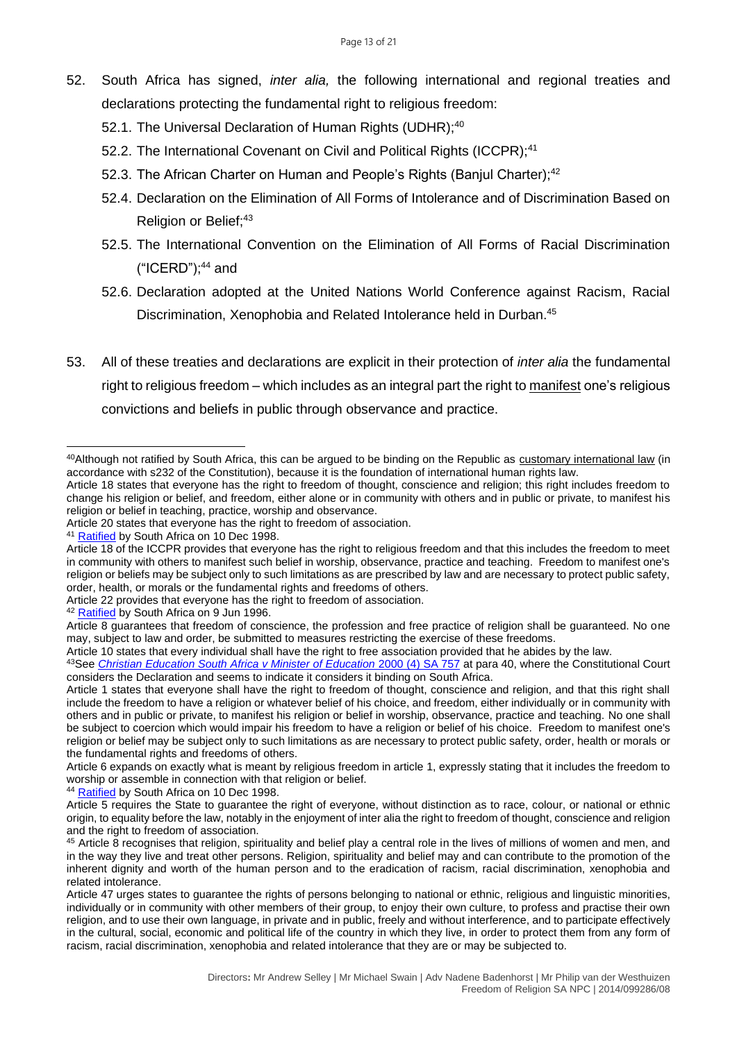- 52. South Africa has signed, *inter alia,* the following international and regional treaties and declarations protecting the fundamental right to religious freedom:
	- 52.1. The Universal Declaration of Human Rights (UDHR);<sup>40</sup>
	- 52.2. The International Covenant on Civil and Political Rights (ICCPR);<sup>41</sup>
	- 52.3. The African Charter on Human and People's Rights (Banjul Charter);<sup>42</sup>
	- 52.4. Declaration on the Elimination of All Forms of Intolerance and of Discrimination Based on Religion or Belief;<sup>43</sup>
	- 52.5. The International Convention on the Elimination of All Forms of Racial Discrimination ("ICERD"); <sup>44</sup> and
	- 52.6. Declaration adopted at the United Nations World Conference against Racism, Racial Discrimination, Xenophobia and Related Intolerance held in Durban. 45
- 53. All of these treaties and declarations are explicit in their protection of *inter alia* the fundamental right to religious freedom – which includes as an integral part the right to manifest one's religious convictions and beliefs in public through observance and practice.

Article 22 provides that everyone has the right to freedom of association.

Article 10 states that every individual shall have the right to free association provided that he abides by the law.

<sup>44</sup> [Ratified](http://hrlibrary.umn.edu/research/ratification-southafrica.html) by South Africa on 10 Dec 1998.

<sup>40</sup> Although not ratified by South Africa, this can be argued to be binding on the Republic as customary international law (in accordance with s232 of the Constitution), because it is the foundation of international human rights law.

Article 18 states that everyone has the right to freedom of thought, conscience and religion; this right includes freedom to change his religion or belief, and freedom, either alone or in community with others and in public or private, to manifest his religion or belief in teaching, practice, worship and observance.

Article 20 states that everyone has the right to freedom of association.

<sup>&</sup>lt;sup>41</sup> [Ratified](http://hrlibrary.umn.edu/research/ratification-southafrica.html) by South Africa on 10 Dec 1998.

Article 18 of the ICCPR provides that everyone has the right to religious freedom and that this includes the freedom to meet in community with others to manifest such belief in worship, observance, practice and teaching. Freedom to manifest one's religion or beliefs may be subject only to such limitations as are prescribed by law and are necessary to protect public safety, order, health, or morals or the fundamental rights and freedoms of others.

<sup>&</sup>lt;sup>42</sup> [Ratified](http://hrlibrary.umn.edu/research/ratification-southafrica.html) by South Africa on 9 Jun 1996.

Article 8 guarantees that freedom of conscience, the profession and free practice of religion shall be guaranteed. No one may, subject to law and order, be submitted to measures restricting the exercise of these freedoms.

<sup>43</sup>See *[Christian Education South Africa v Minister of Education](http://www.saflii.org/za/cases/ZACC/2000/11.html)* 2000 (4) SA 757 at para 40, where the Constitutional Court considers the Declaration and seems to indicate it considers it binding on South Africa.

Article 1 states that everyone shall have the right to freedom of thought, conscience and religion, and that this right shall include the freedom to have a religion or whatever belief of his choice, and freedom, either individually or in community with others and in public or private, to manifest his religion or belief in worship, observance, practice and teaching. No one shall be subject to coercion which would impair his freedom to have a religion or belief of his choice. Freedom to manifest one's religion or belief may be subject only to such limitations as are necessary to protect public safety, order, health or morals or the fundamental rights and freedoms of others.

Article 6 expands on exactly what is meant by religious freedom in article 1, expressly stating that it includes the freedom to worship or assemble in connection with that religion or belief.

Article 5 requires the State to guarantee the right of everyone, without distinction as to race, colour, or national or ethnic origin, to equality before the law, notably in the enjoyment of inter alia the right to freedom of thought, conscience and religion and the right to freedom of association.

<sup>45</sup> Article 8 recognises that religion, spirituality and belief play a central role in the lives of millions of women and men, and in the way they live and treat other persons. Religion, spirituality and belief may and can contribute to the promotion of the inherent dignity and worth of the human person and to the eradication of racism, racial discrimination, xenophobia and related intolerance.

Article 47 urges states to guarantee the rights of persons belonging to national or ethnic, religious and linguistic minorities, individually or in community with other members of their group, to enjoy their own culture, to profess and practise their own religion, and to use their own language, in private and in public, freely and without interference, and to participate effectively in the cultural, social, economic and political life of the country in which they live, in order to protect them from any form of racism, racial discrimination, xenophobia and related intolerance that they are or may be subjected to.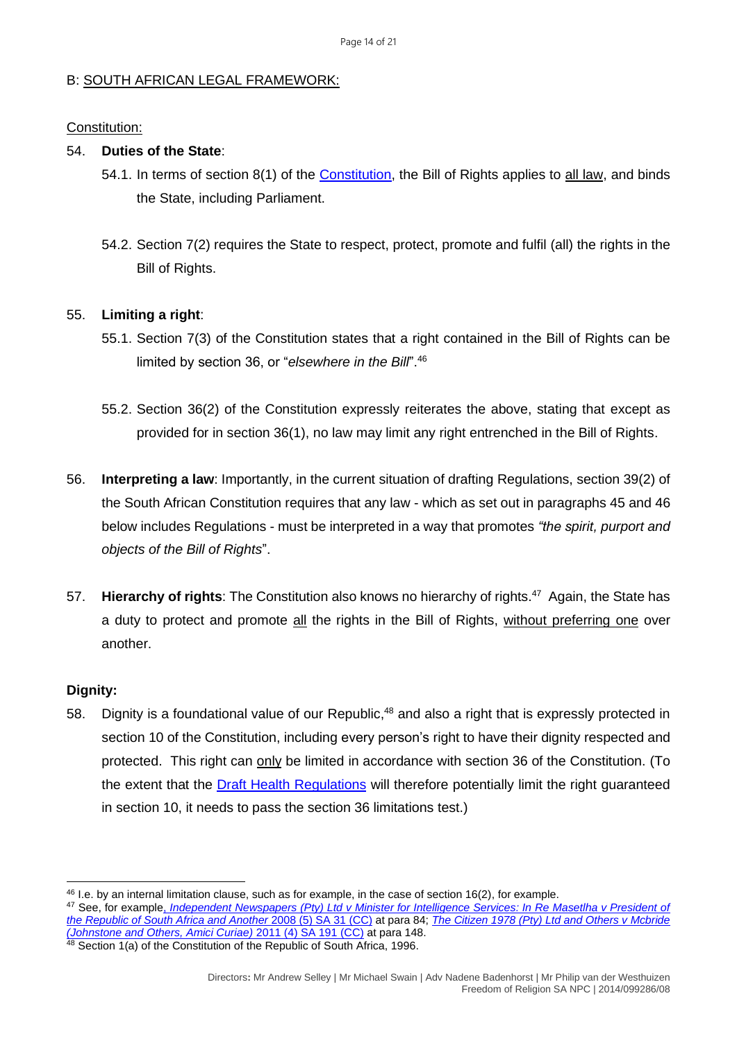# B: SOUTH AFRICAN LEGAL FRAMEWORK:

#### Constitution:

#### 54. **Duties of the State**:

- 54.1. In terms of section 8(1) of the [Constitution,](https://justice.gov.za/legislation/constitution/SAConstitution-web-eng.pdf) the Bill of Rights applies to all law, and binds the State, including Parliament.
- 54.2. Section 7(2) requires the State to respect, protect, promote and fulfil (all) the rights in the Bill of Rights.

# 55. **Limiting a right**:

- 55.1. Section 7(3) of the Constitution states that a right contained in the Bill of Rights can be limited by section 36, or "*elsewhere in the Bill*". 46
- 55.2. Section 36(2) of the Constitution expressly reiterates the above, stating that except as provided for in section 36(1), no law may limit any right entrenched in the Bill of Rights.
- 56. **Interpreting a law**: Importantly, in the current situation of drafting Regulations, section 39(2) of the South African Constitution requires that any law - which as set out in paragraphs 45 and 46 below includes Regulations - must be interpreted in a way that promotes *"the spirit, purport and objects of the Bill of Rights*".
- 57. **Hierarchy of rights**: The Constitution also knows no hierarchy of rights.<sup>47</sup> Again, the State has a duty to protect and promote all the rights in the Bill of Rights, without preferring one over another.

# **Dignity:**

58. Dignity is a foundational value of our Republic,<sup>48</sup> and also a right that is expressly protected in section 10 of the Constitution, including every person's right to have their dignity respected and protected. This right can only be limited in accordance with section 36 of the Constitution. (To the extent that the [Draft Health Regulations](https://health.gov.za/wp-content/uploads/2022/03/Amended-Government-Gazette-on-the-Draft-Health-Regulations-published-for-public-comments-46045-15-March-2022.pdf) will therefore potentially limit the right guaranteed in section 10, it needs to pass the section 36 limitations test.)

<sup>46</sup> I.e. by an internal limitation clause, such as for example, in the case of section 16(2), for example.

<sup>47</sup> See, for example, *[Independent Newspapers \(Pty\) Ltd v Minister for Intelligence Services: In Re Masetlha v President of](http://www.saflii.org/za/cases/ZACC/2008/6.html)  [the Republic of South Africa and Another](http://www.saflii.org/za/cases/ZACC/2008/6.html)* 2008 (5) SA 31 (CC) at para 84; *[The Citizen 1978 \(Pty\) Ltd and Others v Mcbride](http://www.saflii.org/za/cases/ZACC/2011/11.html)  [\(Johnstone and Others, Amici Curiae\)](http://www.saflii.org/za/cases/ZACC/2011/11.html)* 2011 (4) SA 191 (CC) at para 148. <sup>48</sup> Section 1(a) of the Constitution of the Republic of South Africa, 1996.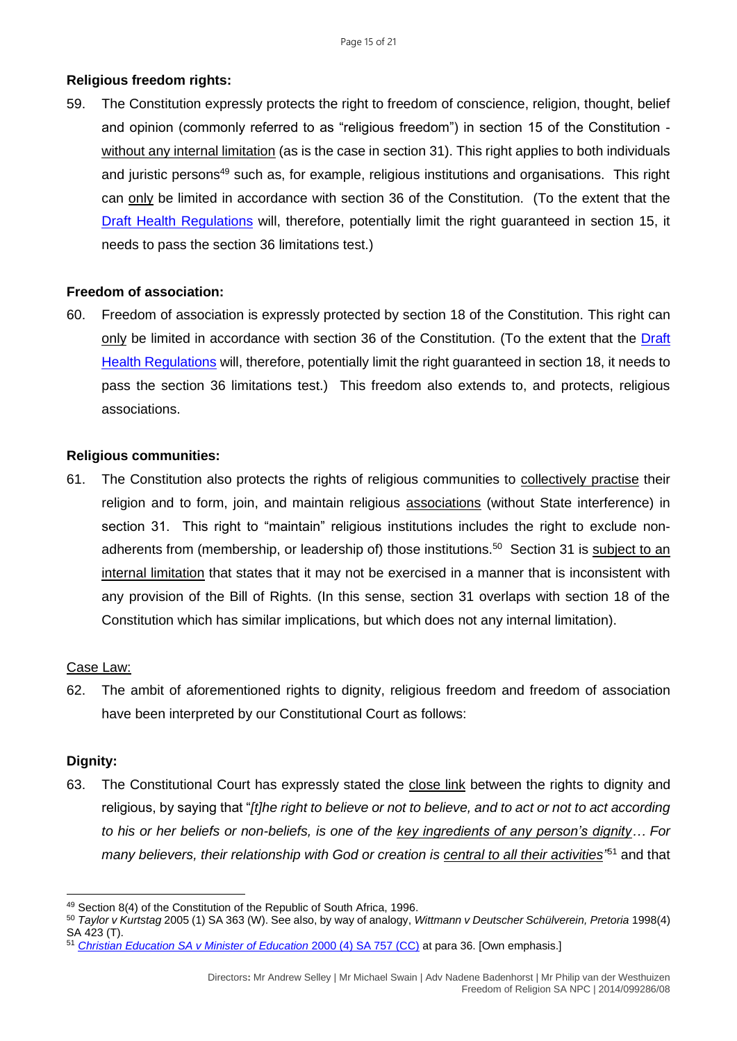# **Religious freedom rights:**

59. The Constitution expressly protects the right to freedom of conscience, religion, thought, belief and opinion (commonly referred to as "religious freedom") in section 15 of the Constitution without any internal limitation (as is the case in section 31). This right applies to both individuals and juristic persons<sup>49</sup> such as, for example, religious institutions and organisations. This right can only be limited in accordance with section 36 of the Constitution. (To the extent that the [Draft Health Regulations](https://health.gov.za/wp-content/uploads/2022/03/Amended-Government-Gazette-on-the-Draft-Health-Regulations-published-for-public-comments-46045-15-March-2022.pdf) will, therefore, potentially limit the right guaranteed in section 15, it needs to pass the section 36 limitations test.)

#### **Freedom of association:**

60. Freedom of association is expressly protected by section 18 of the Constitution. This right can only be limited in accordance with section 36 of the Constitution. (To the extent that the Draft [Health Regulations](https://health.gov.za/wp-content/uploads/2022/03/Amended-Government-Gazette-on-the-Draft-Health-Regulations-published-for-public-comments-46045-15-March-2022.pdf) will, therefore, potentially limit the right guaranteed in section 18, it needs to pass the section 36 limitations test.) This freedom also extends to, and protects, religious associations.

#### **Religious communities:**

61. The Constitution also protects the rights of religious communities to collectively practise their religion and to form, join, and maintain religious associations (without State interference) in section 31. This right to "maintain" religious institutions includes the right to exclude nonadherents from (membership, or leadership of) those institutions.<sup>50</sup> Section 31 is subject to an internal limitation that states that it may not be exercised in a manner that is inconsistent with any provision of the Bill of Rights. (In this sense, section 31 overlaps with section 18 of the Constitution which has similar implications, but which does not any internal limitation).

#### Case Law:

62. The ambit of aforementioned rights to dignity, religious freedom and freedom of association have been interpreted by our Constitutional Court as follows:

# **Dignity:**

63. The Constitutional Court has expressly stated the close link between the rights to dignity and religious, by saying that "*[t]he right to believe or not to believe, and to act or not to act according to his or her beliefs or non-beliefs, is one of the key ingredients of any person's dignity… For*  many believers, their relationship with God or creation is *central to all their activities*<sup>751</sup> and that

<sup>49</sup> Section 8(4) of the Constitution of the Republic of South Africa, 1996.

<sup>50</sup> *Taylor v Kurtstag* 2005 (1) SA 363 (W). See also, by way of analogy, *Wittmann v Deutscher Schülverein, Pretoria* 1998(4) SA 423 (T).

<sup>51</sup> *[Christian Education SA v Minister of Education](http://www.saflii.org/za/cases/ZACC/2000/11.html)* 2000 (4) SA 757 (CC) at para 36. [Own emphasis.]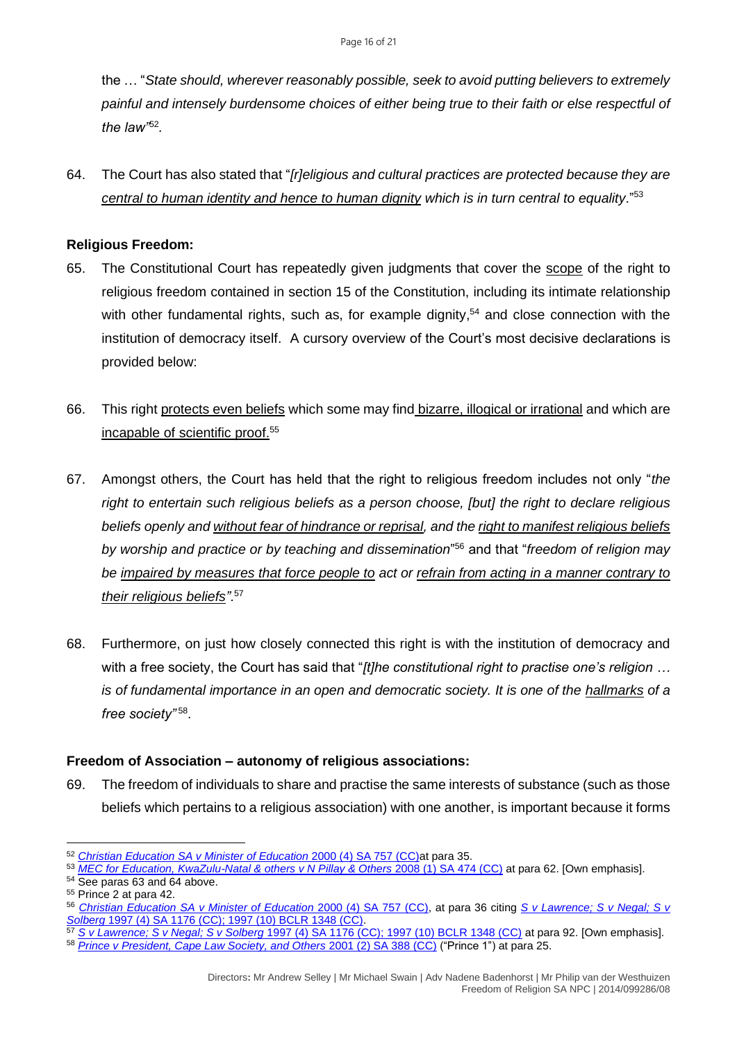the … "*State should, wherever reasonably possible, seek to avoid putting believers to extremely painful and intensely burdensome choices of either being true to their faith or else respectful of the law"*<sup>52</sup> *.*

64. The Court has also stated that "*[r]eligious and cultural practices are protected because they are central to human identity and hence to human dignity which is in turn central to equality*."<sup>53</sup>

# **Religious Freedom:**

- 65. The Constitutional Court has repeatedly given judgments that cover the scope of the right to religious freedom contained in section 15 of the Constitution, including its intimate relationship with other fundamental rights, such as, for example dignity,<sup>54</sup> and close connection with the institution of democracy itself. A cursory overview of the Court's most decisive declarations is provided below:
- 66. This right protects even beliefs which some may find bizarre, illogical or irrational and which are incapable of scientific proof. 55
- 67. Amongst others, the Court has held that the right to religious freedom includes not only "*the right to entertain such religious beliefs as a person choose, [but] the right to declare religious beliefs openly and without fear of hindrance or reprisal, and the right to manifest religious beliefs by worship and practice or by teaching and dissemination*" <sup>56</sup> and that "*freedom of religion may be impaired by measures that force people to act or refrain from acting in a manner contrary to their religious beliefs".*<sup>57</sup>
- 68. Furthermore, on just how closely connected this right is with the institution of democracy and with a free society, the Court has said that "*[t]he constitutional right to practise one's religion … is of fundamental importance in an open and democratic society. It is one of the hallmarks of a free society"* <sup>58</sup> .

# **Freedom of Association – autonomy of religious associations:**

69. The freedom of individuals to share and practise the same interests of substance (such as those beliefs which pertains to a religious association) with one another, is important because it forms

<sup>52</sup> *[Christian Education SA v Minister of Education](http://www.saflii.org/za/cases/ZACC/2000/11.html)* 2000 (4) SA 757 (CC)at para 35.

<sup>53</sup> *[MEC for Education, KwaZulu-Natal & others v N Pillay & Others](http://www.saflii.org/za/cases/ZACC/2007/21.html) 2008 (1) SA 474 (CC)* at para 62. [Own emphasis].

<sup>54</sup> See paras 63 and 64 above.

<sup>55</sup> Prince 2 at para 42.

<sup>56</sup> *[Christian Education SA v Minister of Education](http://www.saflii.org/za/cases/ZACC/2000/11.html)* 2000 (4) SA 757 (CC), at para 36 citing *[S v Lawrence; S v Negal; S v](http://www.saflii.org/za/cases/ZACC/1997/11.html)  Solberg* [1997 \(4\) SA 1176 \(CC\); 1997 \(10\) BCLR 1348 \(CC\).](http://www.saflii.org/za/cases/ZACC/1997/11.html)

<sup>57</sup> *S v Lawrence; S v Negal; S v Solberg* [1997 \(4\) SA 1176 \(CC\); 1997 \(10\) BCLR 1348 \(CC\)](http://www.saflii.org/za/cases/ZACC/1997/11.html) at para 92. [Own emphasis]. <sup>58</sup> *[Prince v President, Cape Law Society, and Others](http://www.saflii.org/za/cases/ZACC/2000/28.html)* 2001 (2) SA 388 (CC) ("Prince 1") at para 25.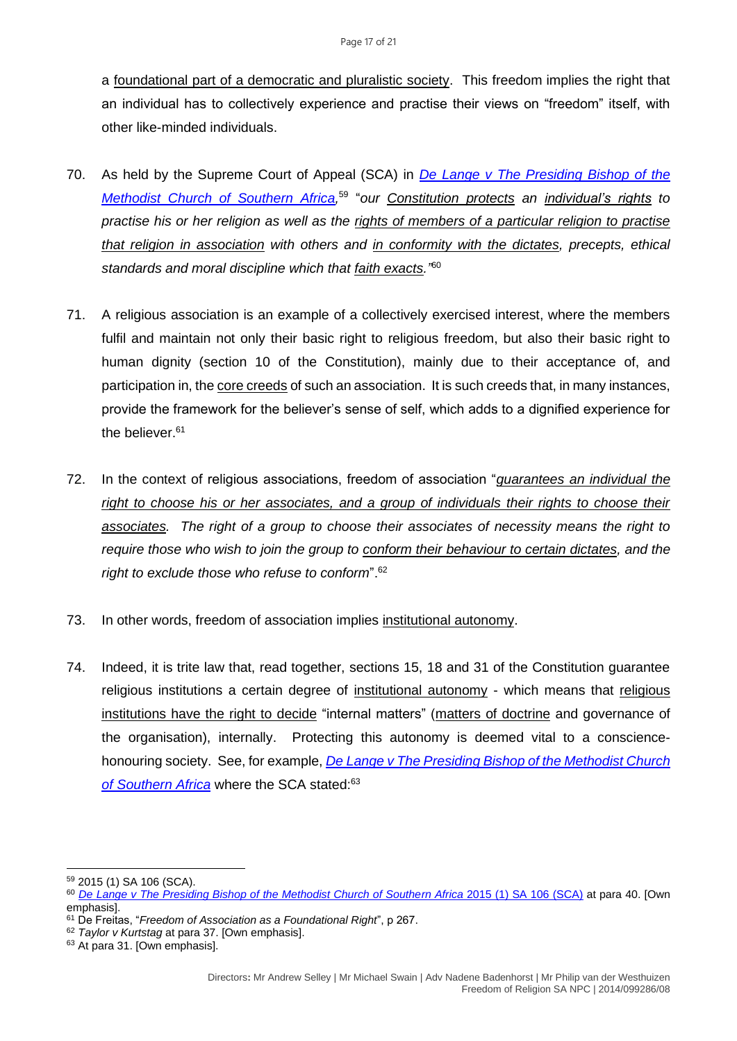a foundational part of a democratic and pluralistic society. This freedom implies the right that an individual has to collectively experience and practise their views on "freedom" itself, with other like-minded individuals.

- 70. As held by the Supreme Court of Appeal (SCA) in *[De Lange v The Presiding Bishop of the](http://www.saflii.org/cgi-bin/disp.pl?file=za/cases/ZASCA/2014/151.html&query=De%20Lange%20v%20The%20Presiding%20Bishop%20of%20the%20Methodist%20Church%20of%20Southern%20Africa)*  [Methodist Church of Southern Africa,](http://www.saflii.org/cgi-bin/disp.pl?file=za/cases/ZASCA/2014/151.html&query=De%20Lange%20v%20The%20Presiding%20Bishop%20of%20the%20Methodist%20Church%20of%20Southern%20Africa)<sup>59</sup> "our Constitution protects an individual's rights to *practise his or her religion as well as the rights of members of a particular religion to practise that religion in association with others and in conformity with the dictates, precepts, ethical standards and moral discipline which that faith exacts."* 60
- 71. A religious association is an example of a collectively exercised interest, where the members fulfil and maintain not only their basic right to religious freedom, but also their basic right to human dignity (section 10 of the Constitution), mainly due to their acceptance of, and participation in, the core creeds of such an association. It is such creeds that, in many instances, provide the framework for the believer's sense of self, which adds to a dignified experience for the believer.<sup>61</sup>
- 72. In the context of religious associations, freedom of association "*guarantees an individual the right to choose his or her associates, and a group of individuals their rights to choose their associates. The right of a group to choose their associates of necessity means the right to require those who wish to join the group to conform their behaviour to certain dictates, and the right to exclude those who refuse to conform*".<sup>62</sup>
- 73. In other words, freedom of association implies institutional autonomy.
- 74. Indeed, it is trite law that, read together, sections 15, 18 and 31 of the Constitution guarantee religious institutions a certain degree of institutional autonomy - which means that religious institutions have the right to decide "internal matters" (matters of doctrine and governance of the organisation), internally. Protecting this autonomy is deemed vital to a consciencehonouring society. See, for example, *[De Lange v The Presiding Bishop of the Methodist Church](http://www.saflii.org/cgi-bin/disp.pl?file=za/cases/ZASCA/2014/151.html&query=De%20Lange%20v%20The%20Presiding%20Bishop%20of%20the%20Methodist%20Church%20of%20Southern%20Africa)*  [of Southern Africa](http://www.saflii.org/cgi-bin/disp.pl?file=za/cases/ZASCA/2014/151.html&query=De%20Lange%20v%20The%20Presiding%20Bishop%20of%20the%20Methodist%20Church%20of%20Southern%20Africa) where the SCA stated:<sup>63</sup>

<sup>59</sup> 2015 (1) SA 106 (SCA).

<sup>60</sup> *[De Lange v The Presiding Bishop of the Methodist Church of Southern Africa](http://www.saflii.org/cgi-bin/disp.pl?file=za/cases/ZASCA/2014/151.html&query=De%20Lange%20v%20The%20Presiding%20Bishop%20of%20the%20Methodist%20Church%20of%20Southern%20Africa)* 2015 (1) SA 106 (SCA) at para 40. [Own emphasis].

<sup>61</sup> De Freitas, "*Freedom of Association as a Foundational Right*", p 267.

<sup>62</sup> *Taylor v Kurtstag* at para 37. [Own emphasis].

<sup>&</sup>lt;sup>63</sup> At para 31. [Own emphasis].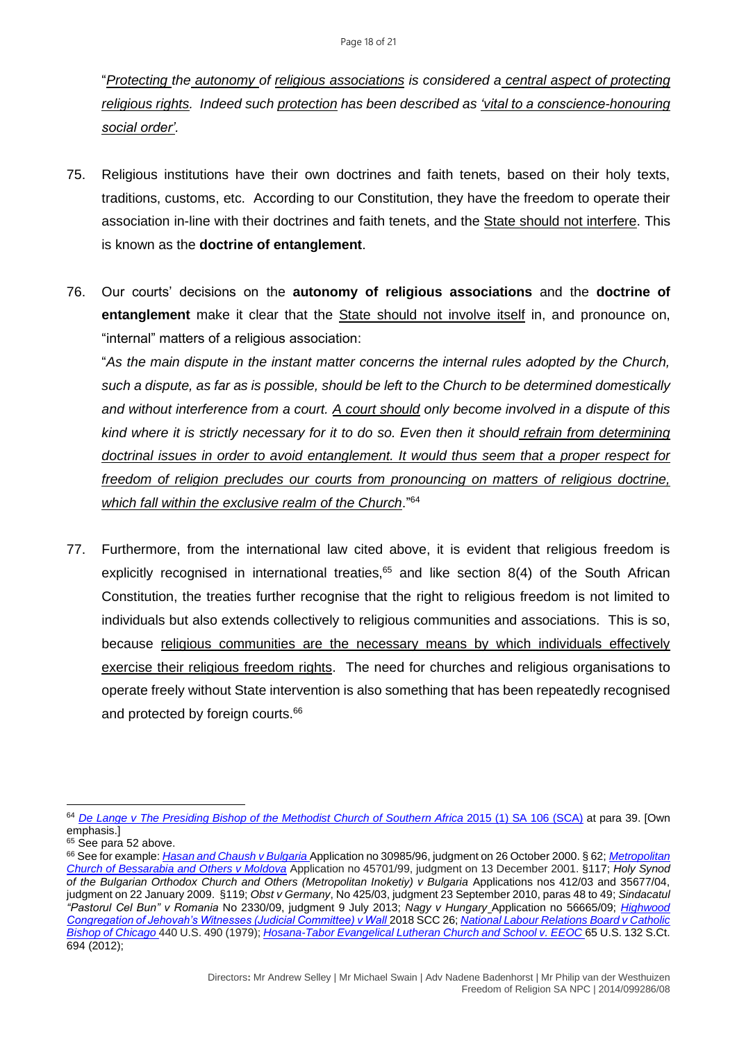"*Protecting the autonomy of religious associations is considered a central aspect of protecting religious rights. Indeed such protection has been described as 'vital to a conscience-honouring social order'.*

- 75. Religious institutions have their own doctrines and faith tenets, based on their holy texts, traditions, customs, etc. According to our Constitution, they have the freedom to operate their association in-line with their doctrines and faith tenets, and the State should not interfere. This is known as the **doctrine of entanglement**.
- 76. Our courts' decisions on the **autonomy of religious associations** and the **doctrine of entanglement** make it clear that the State should not involve itself in, and pronounce on, "internal" matters of a religious association:

"*As the main dispute in the instant matter concerns the internal rules adopted by the Church, such a dispute, as far as is possible, should be left to the Church to be determined domestically and without interference from a court. A court should only become involved in a dispute of this kind where it is strictly necessary for it to do so. Even then it should refrain from determining doctrinal issues in order to avoid entanglement. It would thus seem that a proper respect for freedom of religion precludes our courts from pronouncing on matters of religious doctrine, which fall within the exclusive realm of the Church*."<sup>64</sup>

77. Furthermore, from the international law cited above, it is evident that religious freedom is explicitly recognised in international treaties, $65$  and like section 8(4) of the South African Constitution, the treaties further recognise that the right to religious freedom is not limited to individuals but also extends collectively to religious communities and associations. This is so, because religious communities are the necessary means by which individuals effectively exercise their religious freedom rights. The need for churches and religious organisations to operate freely without State intervention is also something that has been repeatedly recognised and protected by foreign courts.<sup>66</sup>

<sup>&</sup>lt;sup>64</sup> [De Lange v The Presiding Bishop of the Methodist Church of Southern Africa](http://www.saflii.org/cgi-bin/disp.pl?file=za/cases/ZASCA/2014/151.html&query=De%20Lange%20v%20The%20Presiding%20Bishop%20of%20the%20Methodist%20Church%20of%20Southern%20Africa) 2015 (1) SA 106 (SCA) at para 39. [Own emphasis.]

<sup>&</sup>lt;sup>65</sup> See para 52 above.

<sup>66</sup> See for example: *[Hasan and Chaush v Bulgaria](https://minorityrights.org/wp-content/uploads/old-site-downloads/download-382-Hasan-and-Chaush-v-Bulgaria.pdf)* Application no 30985/96, judgment on 26 October 2000. § 62; *[Metropolitan](http://licodu.cois.it/?p=10541&lang=en)  [Church of Bessarabia and Others v Moldova](http://licodu.cois.it/?p=10541&lang=en)* Application no 45701/99, judgment on 13 December 2001. §117; *Holy Synod of the Bulgarian Orthodox Church and Others (Metropolitan Inoketiy) v Bulgaria* Applications nos 412/03 and 35677/04, judgment on 22 January 2009. §119; *Obst v Germany*, No 425/03, judgment 23 September 2010, paras 48 to 49; *Sindacatul "Pastorul Cel Bun" v Romania* No 2330/09, judgment 9 July 2013; *Nagy v Hungary* Application no 56665/09; *[Highwood](https://scc-csc.lexum.com/scc-csc/scc-csc/en/item/17101/index.do)  [Congregation of Jehovah's Witnesses \(Judicial Committee\) v Wall](https://scc-csc.lexum.com/scc-csc/scc-csc/en/item/17101/index.do)* 2018 SCC 26; *[National Labour Relations Board v Catholic](https://supreme.justia.com/cases/federal/us/440/490/)  [Bishop of Chicago](https://supreme.justia.com/cases/federal/us/440/490/)* 440 U.S. 490 (1979); *[Hosana-Tabor Evangelical Lutheran Church and School v. EEOC](https://www.supremecourt.gov/opinions/11pdf/10-553.pdf)* 65 U.S. 132 S.Ct. 694 (2012);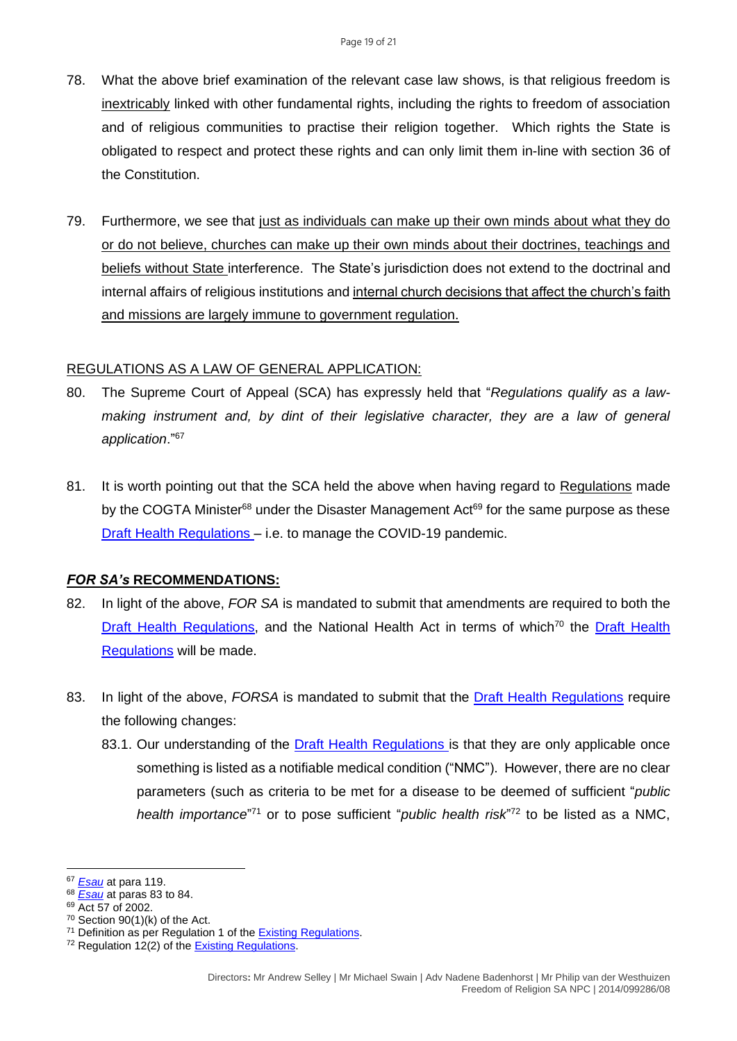- 78. What the above brief examination of the relevant case law shows, is that religious freedom is inextricably linked with other fundamental rights, including the rights to freedom of association and of religious communities to practise their religion together. Which rights the State is obligated to respect and protect these rights and can only limit them in-line with section 36 of the Constitution.
- 79. Furthermore, we see that just as individuals can make up their own minds about what they do or do not believe, churches can make up their own minds about their doctrines, teachings and beliefs without State interference. The State's jurisdiction does not extend to the doctrinal and internal affairs of religious institutions and internal church decisions that affect the church's faith and missions are largely immune to government regulation.

#### REGULATIONS AS A LAW OF GENERAL APPLICATION:

- 80. The Supreme Court of Appeal (SCA) has expressly held that "*Regulations qualify as a lawmaking instrument and, by dint of their legislative character, they are a law of general application*."<sup>67</sup>
- 81. It is worth pointing out that the SCA held the above when having regard to Regulations made by the COGTA Minister $68$  under the Disaster Management Act $69$  for the same purpose as these [Draft Health Regulations](https://health.gov.za/wp-content/uploads/2022/03/Amended-Government-Gazette-on-the-Draft-Health-Regulations-published-for-public-comments-46045-15-March-2022.pdf) – i.e. to manage the COVID-19 pandemic.

#### *FOR SA's* **RECOMMENDATIONS:**

- 82. In light of the above, *FOR SA* is mandated to submit that amendments are required to both the [Draft Health Regulations,](https://health.gov.za/wp-content/uploads/2022/03/Amended-Government-Gazette-on-the-Draft-Health-Regulations-published-for-public-comments-46045-15-March-2022.pdf) and the National Health Act in terms of which<sup>70</sup> the Draft Health [Regulations](https://health.gov.za/wp-content/uploads/2022/03/Amended-Government-Gazette-on-the-Draft-Health-Regulations-published-for-public-comments-46045-15-March-2022.pdf) will be made.
- 83. In light of the above, *FORSA* is mandated to submit that the [Draft Health Regulations](https://health.gov.za/wp-content/uploads/2022/03/Amended-Government-Gazette-on-the-Draft-Health-Regulations-published-for-public-comments-46045-15-March-2022.pdf) require the following changes:
	- 83.1. Our understanding of the [Draft Health Regulations](https://health.gov.za/wp-content/uploads/2022/03/Amended-Government-Gazette-on-the-Draft-Health-Regulations-published-for-public-comments-46045-15-March-2022.pdf) is that they are only applicable once something is listed as a notifiable medical condition ("NMC"). However, there are no clear parameters (such as criteria to be met for a disease to be deemed of sufficient "*public* health importance<sup>"71</sup> or to pose sufficient "*public health risk*"<sup>72</sup> to be listed as a NMC,

<sup>67</sup> *[Esau](http://www.saflii.org/za/cases/ZASCA/2021/9.pdf)* at para 119.

<sup>68</sup> *[Esau](http://www.saflii.org/za/cases/ZASCA/2021/9.pdf)* at paras 83 to 84.

<sup>&</sup>lt;sup>69</sup> Act 57 of 2002.

 $70$  Section 90(1)(k) of the Act.

<sup>71</sup> Definition as per Regulation 1 of th[e Existing Regulations.](https://covidlawlab.org/wp-content/uploads/2021/02/South-Africa_2017.12.15_Regulation_Regulations-Relating-to-the-Surveillance-and-the-Control-of-Notifiable-Medical-Conditions_EN.pdf)

<sup>&</sup>lt;sup>72</sup> Regulation 12(2) of the **Existing Regulations**.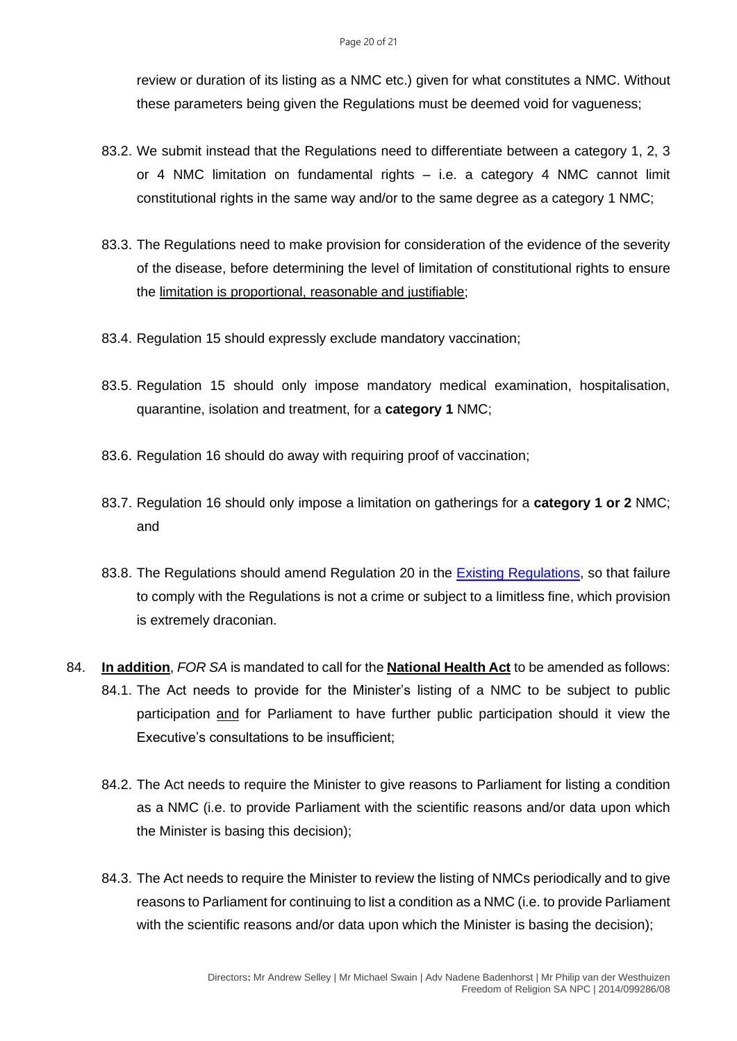review or duration of its listing as a NMC etc.) given for what constitutes a NMC. Without these parameters being given the Regulations must be deemed void for vagueness;

- 83.2. We submit instead that the Regulations need to differentiate between a category 1, 2, 3 or 4 NMC limitation on fundamental rights – i.e. a category 4 NMC cannot limit constitutional rights in the same way and/or to the same degree as a category 1 NMC;
- 83.3. The Regulations need to make provision for consideration of the evidence of the severity of the disease, before determining the level of limitation of constitutional rights to ensure the limitation is proportional, reasonable and justifiable;
- 83.4. Regulation 15 should expressly exclude mandatory vaccination;
- 83.5. Regulation 15 should only impose mandatory medical examination, hospitalisation, quarantine, isolation and treatment, for a **category 1** NMC;
- 83.6. Regulation 16 should do away with requiring proof of vaccination;
- 83.7. Regulation 16 should only impose a limitation on gatherings for a **category 1 or 2** NMC; and
- 83.8. The Regulations should amend Regulation 20 in the **Existing Regulations**, so that failure to comply with the Regulations is not a crime or subject to a limitless fine, which provision is extremely draconian.
- 84. **In addition**, *FOR SA* is mandated to call for the **National Health Act** to be amended as follows: 84.1. The Act needs to provide for the Minister's listing of a NMC to be subject to public participation and for Parliament to have further public participation should it view the Executive's consultations to be insufficient;
	- 84.2. The Act needs to require the Minister to give reasons to Parliament for listing a condition as a NMC (i.e. to provide Parliament with the scientific reasons and/or data upon which the Minister is basing this decision);
	- 84.3. The Act needs to require the Minister to review the listing of NMCs periodically and to give reasons to Parliament for continuing to list a condition as a NMC (i.e. to provide Parliament with the scientific reasons and/or data upon which the Minister is basing the decision);